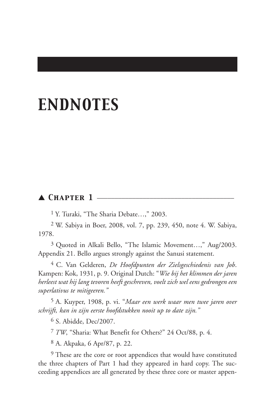# *ENDNOTES*

# ▲ **CHAPTER** 1

1 Y. Turaki, "The Sharia Debate…," 2003.

2 W. Sabiya in Boer, 2008, vol. 7, pp. 239, 450, note 4. W. Sabiya, 1978.

3 Quoted in Alkali Bello, "The Islamic Movement…," Aug/2003. Appendix 21. Bello argues strongly against the Sanusi statement.

4 C. Van Gelderen, *De Hoofdpunten der Zielsgeschiedenis van Job*. Kampen: Kok, 1931, p. 9. Original Dutch: "*Wie bij het klimmen der jaren herleest wat hij lang tevoren heeft geschreven, voelt zich wel eens gedrongen een superlativus te mitigeeren."*

5 A. Kuyper, 1908, p. vi. "*Maar een werk waar men twee jaren over schrijft, kan in zijn eerste hoofdstukken nooit up to date zijn."*

6 S. Abidde, Dec/2007.

7 *TW*, "Sharia: What Benefit for Others?" 24 Oct/88, p. 4.

8 A. Akpaka, 6 Apr/87, p. 22.

9 These are the core or root appendices that would have constituted the three chapters of Part 1 had they appeared in hard copy. The succeeding appendices are all generated by these three core or master appen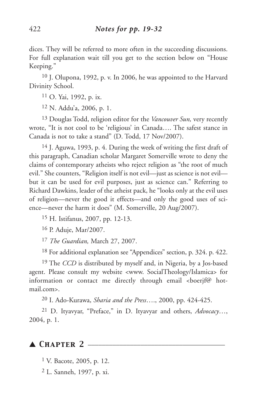dices. They will be referred to more often in the succeeding discussions. For full explanation wait till you get to the section below on "House Keeping."

10 J. Olupona, 1992, p. v. In 2006, he was appointed to the Harvard Divinity School.

11 O. Yai, 1992, p. ix.

12 N. Addu'a, 2006, p. 1.

13 Douglas Todd, religion editor for the *Vancouver Sun,* very recently wrote, "It is not cool to be 'religious' in Canada…. The safest stance in Canada is not to take a stand" (D. Todd, 17 Nov/2007).

<sup>14</sup> J. Aguwa, 1993, p. 4. During the week of writing the first draft of this paragraph, Canadian scholar Margaret Somerville wrote to deny the claims of contemporary atheists who reject religion as "the root of much evil." She counters, "Religion itself is not evil—just as science is not evil but it can be used for evil purposes, just as science can." Referring to Richard Dawkins, leader of the atheist pack, he "looks only at the evil uses of religion—never the good it effects—and only the good uses of science—never the harm it does" (M. Somerville, 20 Aug/2007).

15 H. Istifanus, 2007, pp. 12-13.

16 P. Aduje, Mar/2007.

17 *The Guardian,* March 27, 2007.

18 For additional explanation see "Appendices" section, p. 324. p. 422.

<sup>19</sup> The *CCD* is distributed by myself and, in Nigeria, by a Jos-based agent. Please consult my website <www. SocialTheology/Islamica> for information or contact me directly through email <br/>boerjf@ hotmail.com>.

20 I. Ado-Kurawa, *Sharia and the Press*…., 2000, pp. 424-425.

21 D. Ityavyar, "Preface," in D. Ityavyar and others, *Advocacy*…, 2004, p. 1.

# ▲ **CHAPTER** 2

<sup>1</sup> V. Bacote, 2005, p. 12.

2 L. Sanneh, 1997, p. xi.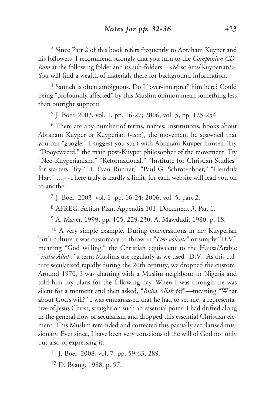3 Since Part 2 of this book refers frequently to Abraham Kuyper and his followers, I recommend strongly that you turn to the *Companion CD-Rom* at the following folder and its sub-folders—<Misc Arts/Kuyperian/>. You will find a wealth of materials there for background information.

4 Sanneh is often ambiguous. Do I "over-interpret" him here? Could being "profoundly affected" by this Muslim opinion mean something less than outright support?

5 J. Boer, 2003, vol. 1, pp. 16-27; 2006, vol. 5, pp. 125-254.

6 There are any number of terms, names, institutions, books about Abraham Kuyper or Kuyperian (-ism), the movement he spawned that you can "google." I suggest you start with Abraham Kuyper himself. Try "Dooyeweerd," the main post-Kuyper philosopher of the movement. Try "Neo-Kuyperianism," "Reformational," "Institute for Christian Studies" for starters. Try "H. Evan Runner," "Paul G. Schrotenboer," "Hendrik Hart"….—There truly is hardly a limit, for each website will lead you on to another.

7 J. Boer, 2003, vol. 1, pp. 16-24; 2006, vol. 5, part 2.

8 AFREG, Action Plan, Appendix 101, Document 3, Par. 1.

9 A. Mayer, 1999, pp. 105, 229-230. A. Mawdudi, 1980, p. 18.

10 A very simple example. During conversations in my Kuyperian birth culture it was customary to throw in "*Deo volente*" or simply "D.V," meaning "God willing," the Christian equivalent to the Hausa/Arabic "*insha Allah,*" a term Muslims use regularly as we used "D.V." As this culture secularised rapidly during the 20th century, we dropped the custom. Around 1970, I was chatting with a Muslim neighbour in Nigeria and told him my plans for the following day. When I was through, he was silent for a moment and then asked, "*Insha Allah fa*?"—meaning "What about God's will?" I was embarrassed that he had to set me, a representative of Jesus Christ, straight on such an essential point. I had drifted along in the general flow of secularism and dropped this essential Christian element. This Muslim reminded and corrected this partially secularised missionary. Ever since, I have been very conscious of the will of God not only but also of expressing it.

11 J. Boer, 2008, vol. 7, pp. 59-63, 289.

12 D. Byang, 1988, p. 97.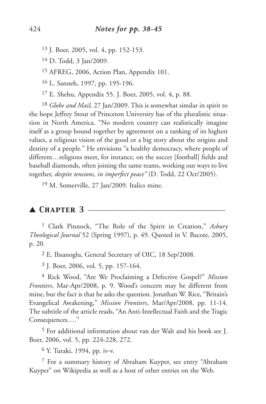13 J. Boer, 2005, vol. 4, pp. 152-153.

14 D. Todd, 3 Jan/2009.

15 AFREG, 2006, Action Plan, Appendix 101.

16 L. Sanneh, 1997, pp. 195-196.

17 E. Shehu, Appendix 55. J. Boer, 2005, vol. 4, p. 88.

18 *Globe and Mail,* 27 Jan/2009. This is somewhat similar in spirit to the hope Jeffrey Stout of Princeton University has of the pluralistic situation in North America. "No modern country can realistically imagine itself as a group bound together by agreement on a ranking of its highest values, a religious vision of the good or a big story about the origins and destiny of a people." He envisions "a healthy democracy, where people of different…religions meet, for instance, on the soccer [football] fields and baseball diamonds, often joining the same teams, working out ways to live together, *despite tensions, in imperfect peace"* (D. Todd, 22 Oct/2005).

19 M. Somerville, 27 Jan/2009. Italics mine.

## ▲ *Chapter 3* \_\_\_\_\_\_\_\_\_\_\_\_\_\_\_\_\_\_\_\_\_\_\_\_\_\_\_\_\_\_\_\_\_\_\_\_\_\_\_

1 Clark Pinnock, "The Role of the Spirit in Creation," *Asbury Theological Journal* 52 (Spring 1997), p. 49. Quoted in V. Bacote, 2005, p. 20.

2 E. Ihsanoglu, General Secretary of OIC, 18 Sep/2008.

3 J. Boer, 2006, vol. 5, pp. 157-164.

4 Rick Wood, "Are We Proclaiming a Defective Gospel?" *Mission Frontiers*, Mar-Apr/2008, p. 9. Wood's concern may be different from mine, but the fact is that he asks the question. Jonathan W. Rice, "Britain's Evangelical Awakening," *Mission Frontiers*, Mar/Apr/2008, pp. 11-14. The subtitle of the article reads, "An Anti-Intellectual Faith and the Tragic Consequences…."

5 For additional information about van der Walt and his book see J. Boer, 2006, vol. 5, pp. 224-228, 272.

6 Y. Turaki, 1994, pp. iv-v.

7 For a summary history of Abraham Kuyper, see entry "Abraham Kuyper" on Wikipedia as well as a host of other entries on the Web.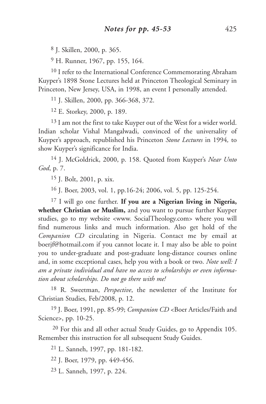8 J. Skillen, 2000, p. 365.

9 H. Runner, 1967, pp. 155, 164.

<sup>10</sup> I refer to the International Conference Commemorating Abraham Kuyper's 1898 Stone Lectures held at Princeton Theological Seminary in Princeton, New Jersey, USA, in 1998, an event I personally attended.

11 J. Skillen, 2000, pp. 366-368, 372.

12 E. Storkey, 2000, p. 189.

<sup>13</sup> I am not the first to take Kuyper out of the West for a wider world. Indian scholar Vishal Mangalwadi, convinced of the universality of Kuyper's approach, republished his Princeton *Stone Lectures* in 1994*,* to show Kuyper's significance for India.

14 J. McGoldrick, 2000, p. 158. Quoted from Kuyper's *Near Unto God*, p. 7.

15 J. Bolt, 2001, p. xix.

16 J. Boer, 2003, vol. 1, pp.16-24; 2006, vol. 5, pp. 125-254.

17 I will go one further. **If you are a Nigerian living in Nigeria, whether Christian or Muslim,** and you want to pursue further Kuyper studies, go to my website <www. SocialTheology.com> where you will find numerous links and much information. Also get hold of the *Companion CD* circulating in Nigeria. Contact me by email at boerjf@hotmail.com if you cannot locate it. I may also be able to point you to under-graduate and post-graduate long-distance courses online and, in some exceptional cases, help you with a book or two. *Note well: I am a private individual and have no access to scholarships or even information about scholarships. Do not go there with me!*

18 R. Sweetman, *Perspective*, the newsletter of the Institute for Christian Studies, Feb/2008, p. 12.

<sup>19</sup> J. Boer, 1991, pp. 85-99; *Companion CD* < Boer Articles/Faith and Science>, pp. 10-25.

20 For this and all other actual Study Guides, go to Appendix 105. Remember this instruction for all subsequent Study Guides.

21 L. Sanneh, 1997, pp. 181-182.

22 J. Boer, 1979, pp. 449-456.

23 L. Sanneh, 1997, p. 224.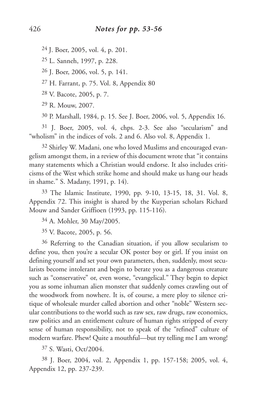24 J. Boer, 2005, vol. 4, p. 201.

25 L. Sanneh, 1997, p. 228.

26 J. Boer, 2006, vol. 5, p. 141.

27 H. Farrant, p. 75. Vol. 8, Appendix 80

28 V. Bacote, 2005, p. 7.

29 R. Mouw, 2007.

30 P. Marshall, 1984, p. 15. See J. Boer, 2006, vol. 5, Appendix 16.

31 J. Boer, 2005, vol. 4, chps. 2-3. See also "secularism" and "wholism" in the indices of vols. 2 and 6. Also vol. 8, Appendix 1.

32 Shirley W. Madani, one who loved Muslims and encouraged evangelism amongst them, in a review of this document wrote that "it contains many statements which a Christian would endorse. It also includes criticisms of the West which strike home and should make us hang our heads in shame." S. Madany, 1991, p. 14).

33 The Islamic Institute, 1990, pp. 9-10, 13-15, 18, 31. Vol. 8, Appendix 72. This insight is shared by the Kuyperian scholars Richard Mouw and Sander Griffioen (1993, pp. 115-116).

34 A. Mohler, 30 May/2005.

35 V. Bacote, 2005, p. 56.

36 Referring to the Canadian situation, if you allow secularism to define you, then you're a secular OK poster boy or girl. If you insist on defining yourself and set your own parameters, then, suddenly, most secularists become intolerant and begin to berate you as a dangerous creature such as "conservative" or, even worse, "evangelical." They begin to depict you as some inhuman alien monster that suddenly comes crawling out of the woodwork from nowhere. It is, of course, a mere ploy to silence critique of wholesale murder called abortion and other "noble" Western secular contributions to the world such as raw sex, raw drugs, raw economics, raw politics and an entitlement culture of human rights stripped of every sense of human responsibility, not to speak of the "refined" culture of modern warfare. Phew! Quite a mouthful—but try telling me I am wrong!

37 S. Wasti, Oct/2004.

38 J. Boer, 2004, vol. 2, Appendix 1, pp. 157-158; 2005, vol. 4, Appendix 12, pp. 237-239.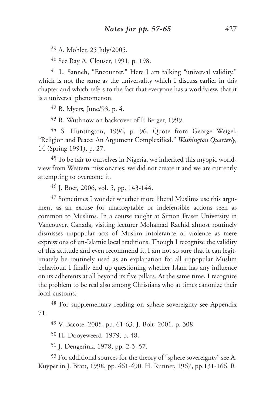39 A. Mohler, 25 July/2005.

40 See Ray A. Clouser, 1991, p. 198.

41 L. Sanneh, "Encounter." Here I am talking "universal validity," which is not the same as the universality which I discuss earlier in this chapter and which refers to the fact that everyone has a worldview, that it is a universal phenomenon.

42 B. Myers, June/93, p. 4.

43 R. Wuthnow on backcover of P. Berger, 1999.

44 S. Huntington, 1996, p. 96. Quote from George Weigel, "Religion and Peace: An Argument Complexified." *Washington Quarterly*, 14 (Spring 1991), p. 27.

45 To be fair to ourselves in Nigeria, we inherited this myopic worldview from Western missionaries; we did not create it and we are currently attempting to overcome it.

46 J. Boer, 2006, vol. 5, pp. 143-144.

47 Sometimes I wonder whether more liberal Muslims use this argument as an excuse for unacceptable or indefensible actions seen as common to Muslims. In a course taught at Simon Fraser University in Vancouver, Canada, visiting lecturer Mohamad Rachid almost routinely dismisses unpopular acts of Muslim intolerance or violence as mere expressions of un-Islamic local traditions. Though I recognize the validity of this attitude and even recommend it, I am not so sure that it can legitimately be routinely used as an explanation for all unpopular Muslim behaviour. I finally end up questioning whether Islam has any influence on its adherents at all beyond its five pillars. At the same time, I recognize the problem to be real also among Christians who at times canonize their local customs.

48 For supplementary reading on sphere sovereignty see Appendix 71.

49 V. Bacote, 2005, pp. 61-63. J. Bolt, 2001, p. 308.

50 H. Dooyeweerd, 1979, p. 48.

51 J. Dengerink, 1978, pp. 2-3, 57.

52 For additional sources for the theory of "sphere sovereignty" see A. Kuyper in J. Bratt, 1998, pp. 461-490. H. Runner, 1967, pp.131-166. R.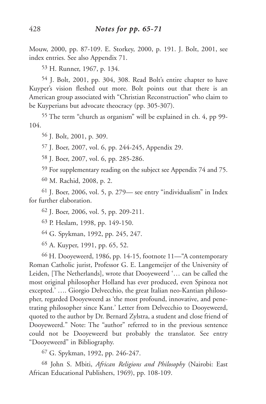Mouw, 2000, pp. 87-109. E. Storkey, 2000, p. 191. J. Bolt, 2001, see index entries. See also Appendix 71.

53 H. Runner, 1967, p. 134.

54 J. Bolt, 2001, pp. 304, 308. Read Bolt's entire chapter to have Kuyper's vision fleshed out more. Bolt points out that there is an American group associated with "Christian Reconstruction" who claim to be Kuyperians but advocate theocracy (pp. 305-307).

55 The term "church as organism" will be explained in ch. 4, pp 99- 104.

56 J. Bolt, 2001, p. 309.

57 J. Boer, 2007, vol. 6, pp. 244-245, Appendix 29.

58 J. Boer, 2007, vol. 6, pp. 285-286.

59 For supplementary reading on the subject see Appendix 74 and 75.

60 M. Rachid, 2008, p. 2.

61 J. Boer, 2006, vol. 5, p. 279— see entry "individualism" in Index for further elaboration.

62 J. Boer, 2006, vol. 5, pp. 209-211.

63 P. Heslam, 1998, pp. 149-150.

64 G. Spykman, 1992, pp. 245, 247.

65 A. Kuyper, 1991, pp. 65, 52.

66 H. Dooyeweerd, 1986, pp. 14-15, footnote 11—"A contemporary Roman Catholic jurist, Professor G. E. Langemeijer of the University of Leiden, [The Netherlands], wrote that Dooyeweerd '… can be called the most original philosopher Holland has ever produced, even Spinoza not excepted.' …. Giorgio Delvecchio, the great Italian neo-Kantian philosopher, regarded Dooyeweerd as 'the most profound, innovative, and penetrating philosopher since Kant.' Letter from Delvecchio to Dooyeweerd, quoted to the author by Dr. Bernard Zylstra, a student and close friend of Dooyeweerd." Note: The "author" referred to in the previous sentence could not be Dooyeweerd but probably the translator. See entry "Dooyeweerd" in Bibliography.

67 G. Spykman, 1992, pp. 246-247.

68 John S. Mbiti, *African Religions and Philosophy* (Nairobi: East African Educational Publishers, 1969), pp. 108-109.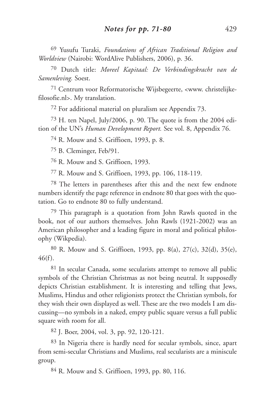69 Yusufu Turaki, *Foundations of African Traditional Religion and Worldview* (Nairobi: WordAlive Publishers, 2006), p. 36.

70 Dutch title: *Moreel Kapitaal: De Verbindingskracht van de Samenleving.* Soest.

71 Centrum voor Reformatorische Wijsbegeerte, <www. christelijkefilosofie.nl>. My translation.

72 For additional material on pluralism see Appendix 73.

73 H. ten Napel, July/2006, p. 90. The quote is from the 2004 edition of the UN's *Human Development Report.* See vol. 8, Appendix 76.

74 R. Mouw and S. Griffioen, 1993, p. 8.

75 B. Cleminger, Feb/91.

76 R. Mouw and S. Griffioen, 1993.

77 R. Mouw and S. Griffioen, 1993, pp. 106, 118-119.

78 The letters in parentheses after this and the next few endnote numbers identify the page reference in endnote 80 that goes with the quotation. Go to endnote 80 to fully understand.

 $79$  This paragraph is a quotation from John Rawls quoted in the book, not of our authors themselves. John Rawls (1921-2002) was an American philosopher and a leading figure in moral and political philosophy (Wikpedia).

80 R. Mouw and S. Griffioen, 1993, pp. 8(a), 27(c), 32(d), 35(e), 46(f).

81 In secular Canada, some secularists attempt to remove all public symbols of the Christian Christmas as not being neutral. It supposedly depicts Christian establishment. It is interesting and telling that Jews, Muslims, Hindus and other religionists protect the Christian symbols, for they wish their own displayed as well. These are the two models I am discussing—no symbols in a naked, empty public square versus a full public square with room for all.

82 J. Boer, 2004, vol. 3, pp. 92, 120-121.

83 In Nigeria there is hardly need for secular symbols, since, apart from semi-secular Christians and Muslims, real secularists are a miniscule group.

84 R. Mouw and S. Griffioen, 1993, pp. 80, 116.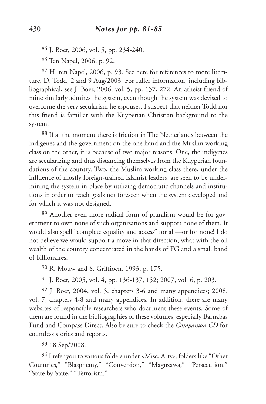85 J. Boer, 2006, vol. 5, pp. 234-240.

86 Ten Napel, 2006, p. 92.

87 H. ten Napel, 2006, p. 93. See here for references to more literature. D. Todd, 2 and 9 Aug/2003. For fuller information, including bibliographical, see J. Boer, 2006, vol. 5, pp. 137, 272. An atheist friend of mine similarly admires the system, even though the system was devised to overcome the very secularism he espouses. I suspect that neither Todd nor this friend is familiar with the Kuyperian Christian background to the system.

88 If at the moment there is friction in The Netherlands between the indigenes and the government on the one hand and the Muslim working class on the other, it is because of two major reasons. One, the indigenes are secularizing and thus distancing themselves from the Kuyperian foundations of the country. Two, the Muslim working class there, under the influence of mostly foreign-trained Islamist leaders, are seen to be undermining the system in place by utilizing democratic channels and institutions in order to reach goals not foreseen when the system developed and for which it was not designed.

89 Another even more radical form of pluralism would be for government to own none of such organizations and support none of them. It would also spell "complete equality and access" for all—or for none! I do not believe we would support a move in that direction, what with the oil wealth of the country concentrated in the hands of FG and a small band of billionaires.

90 R. Mouw and S. Griffioen, 1993, p. 175.

91 J. Boer, 2005, vol. 4, pp. 136-137, 152; 2007, vol. 6, p. 203.

92 J. Boer, 2004, vol. 3, chapters 3-6 and many appendices; 2008, vol. 7, chapters 4-8 and many appendices. In addition, there are many websites of responsible researchers who document these events. Some of them are found in the bibliographies of these volumes, especially Barnabas Fund and Compass Direct. Also be sure to check the *Companion CD* for countless stories and reports.

93 18 Sep/2008.

94 I refer you to various folders under <Misc. Arts>, folders like "Other Countries," "Blasphemy," "Conversion," "Maguzawa," "Persecution." "State by State," "Terrorism."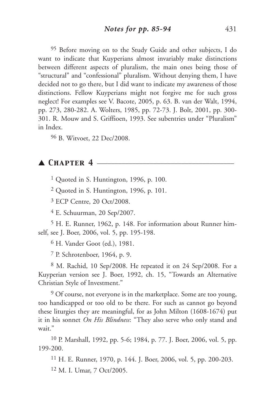95 Before moving on to the Study Guide and other subjects, I do want to indicate that Kuyperians almost invariably make distinctions between different aspects of pluralism, the main ones being those of "structural" and "confessional" pluralism. Without denying them, I have decided not to go there, but I did want to indicate my awareness of those distinctions. Fellow Kuyperians might not forgive me for such gross neglect! For examples see V. Bacote, 2005, p. 63. B. van der Walt, 1994, pp. 273, 280-282. A. Wolters, 1985, pp. 72-73. J. Bolt, 2001, pp. 300- 301. R. Mouw and S. Griffioen, 1993. See subentries under "Pluralism" in Index.

96 B. Witvoet, 22 Dec/2008.

## $\blacktriangle$  **CHAPTER** 4

<sup>1</sup> Quoted in S. Huntington, 1996, p. 100.

2 Quoted in S. Huntington, 1996, p. 101.

3 ECP Centre, 20 Oct/2008.

4 E. Schuurman, 20 Sep/2007.

5 H. E. Runner, 1962, p. 148. For information about Runner himself, see J. Boer, 2006, vol. 5, pp. 195-198.

6 H. Vander Goot (ed.), 1981.

7 P. Schrotenboer, 1964, p. 9.

8 M. Rachid, 10 Sep/2008. He repeated it on 24 Sep/2008. For a Kuyperian version see J. Boer, 1992, ch. 15, "Towards an Alternative Christian Style of Investment."

9 Of course, not everyone is in the marketplace. Some are too young, too handicapped or too old to be there. For such as cannot go beyond these liturgies they are meaningful, for as John Milton (1608-1674) put it in his sonnet *On His Blindness*: "They also serve who only stand and wait."

10 P. Marshall, 1992, pp. 5-6; 1984, p. 77. J. Boer, 2006, vol. 5, pp. 199-200.

11 H. E. Runner, 1970, p. 144. J. Boer, 2006, vol. 5, pp. 200-203.

12 M. I. Umar, 7 Oct/2005.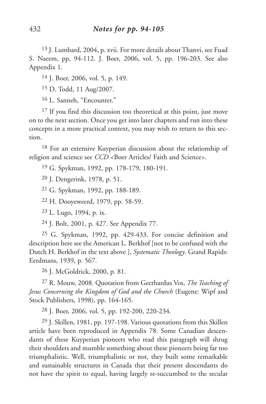13 J. Lumbard, 2004, p. xvii. For more details about Thanvi, see Fuad S. Naeem, pp, 94-112. J. Boer, 2006, vol. 5, pp. 196-203. See also Appendix 1.

14 J. Boer, 2006, vol. 5, p. 149.

15 D. Todd, 11 Aug/2007.

16 L. Sanneh, "Encounter."

<sup>17</sup> If you find this discussion too theoretical at this point, just move on to the next section. Once you get into later chapters and run into these concepts in a more practical context, you may wish to return to this section.

18 For an extensive Kuyperian discussion about the relationship of religion and science see *CCD* <Boer Articles/ Faith and Science>.

19 G. Spykman, 1992, pp. 178-179, 180-191.

20 J. Dengerink, 1978, p. 51.

21 G. Spykman, 1992, pp. 188-189.

22 H. Dooyeweerd, 1979, pp. 58-59.

23 L. Lugo, 1994, p. ix.

24 J. Bolt, 2001, p. 427. See Appendix 77.

25 G. Spykman, 1992, pp. 429-433. For concise definition and description here see the American L. Berkhof [not to be confused with the Dutch H. Berkhof in the text above ], *Systematic Theology*. Grand Rapids: Eerdmans, 1939, p. 567.

26 J. McGoldrick, 2000, p. 81.

27 R. Mouw, 2008. Quotation from Geerhardus Vos, *The Teaching of Jesus Concerning the Kingdom of God and the Church* (Eugene: Wipf and Stock Publishers, 1998), pp. 164-165.

28 J. Boer, 2006, vol. 5, pp. 192-200, 220-234.

29 J. Skillen, 1981, pp. 197-198. Various quotations from this Skillen article have been reproduced in Appendix 78. Some Canadian descendants of these Kuyperian pioneers who read this paragraph will shrug their shoulders and mumble something about these pioneers being far too triumphalistic. Well, triumphalistic or not, they built some remarkable and sustainable structures in Canada that their present descendants do not have the spirit to equal, having largely re-succumbed to the secular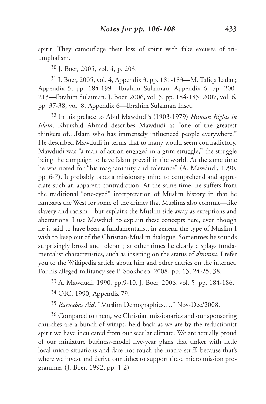spirit. They camouflage their loss of spirit with fake excuses of triumphalism.

30 J. Boer, 2005, vol. 4, p. 203.

31 J. Boer, 2005, vol. 4, Appendix 3, pp. 181-183—M. Tafiqa Ladan; Appendix 5, pp. 184-199—Ibrahim Sulaiman; Appendix 6, pp. 200- 213—Ibrahim Sulaiman. J. Boer, 2006, vol. 5, pp. 184-185; 2007, vol. 6, pp. 37-38; vol. 8, Appendix 6—Ibrahim Sulaiman Inset.

32 In his preface to Abul Mawdudi's (1903-1979) *Human Rights in Islam*, Khurshid Ahmad describes Mawdudi as "one of the greatest thinkers of…Islam who has immensely influenced people everywhere." He described Mawdudi in terms that to many would seem contradictory. Mawdudi was "a man of action engaged in a grim struggle," the struggle being the campaign to have Islam prevail in the world. At the same time he was noted for "his magnanimity and tolerance" (A. Mawdudi, 1990, pp. 6-7). It probably takes a missionary mind to comprehend and appreciate such an apparent contradiction. At the same time, he suffers from the traditional "one-eyed" interpretation of Muslim history in that he lambasts the West for some of the crimes that Muslims also commit—like slavery and racism—but explains the Muslim side away as exceptions and aberrations. I use Mawdudi to explain these concepts here, even though he is said to have been a fundamentalist, in general the type of Muslim I wish to keep out of the Christian-Muslim dialogue. Sometimes he sounds surprisingly broad and tolerant; at other times he clearly displays fundamentalist characteristics, such as insisting on the status of *dhimmi.* I refer you to the Wikipedia article about him and other entries on the internet. For his alleged militancy see P. Sookhdeo, 2008, pp. 13, 24-25, 38.

- 33 A. Mawdudi, 1990, pp.9-10. J. Boer, 2006, vol. 5, pp. 184-186.
- 34 OIC, 1990, Appendix 79.
- 35 *Barnabas Aid*, "Muslim Demographics…," Nov-Dec/2008.

36 Compared to them, we Christian missionaries and our sponsoring churches are a bunch of wimps, held back as we are by the reductionist spirit we have inculcated from our secular climate. We are actually proud of our miniature business-model five-year plans that tinker with little local micro situations and dare not touch the macro stuff, because that's where we invest and derive our tithes to support these micro mission programmes (J. Boer, 1992, pp. 1-2).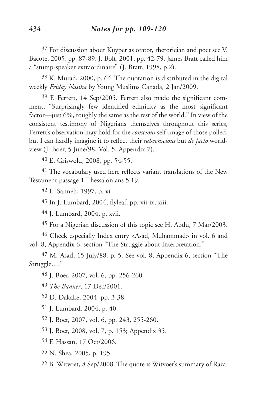For discussion about Kuyper as orator, rhetorician and poet see V. Bacote, 2005, pp. 87-89. J. Bolt, 2001, pp. 42-79. James Bratt called him a "stump-speaker extraordinaire" (J. Bratt, 1998, p.2).

 K. Murad, 2000, p. 64. The quotation is distributed in the digital weekly *Friday Nasiha* by Young Muslims Canada, 2 Jan/2009.

 F. Ferrett, 14 Sep/2005. Ferrett also made the significant comment, "Surprisingly few identified ethnicity as the most significant factor—just 6%, roughly the same as the rest of the world." In view of the consistent testimony of Nigerians themselves throughout this series, Ferrett's observation may hold for the *conscious* self-image of those polled, but I can hardly imagine it to reflect their *subconscious* but *de facto* worldview (J. Boer, 5 June/98; Vol. 5, Appendix 7).

E. Griswold, 2008, pp. 54-55.

 The vocabulary used here reflects variant translations of the New Testament passage 1 Thessalonians 5:19.

L. Sanneh, 1997, p. xi.

In J. Lumbard, 2004, flyleaf, pp. vii-ix, xiii.

J. Lumbard, 2004, p. xvii.

For a Nigerian discussion of this topic see H. Abdu, 7 Mar/2003.

 Check especially Index entry <Asad, Muhammad> in vol. 6 and vol. 8, Appendix 6, section "The Struggle about Interpretation."

 M. Asad, 15 July/88. p. 5. See vol. 8, Appendix 6, section "The Struggle…."

J. Boer, 2007, vol. 6, pp. 256-260.

*The Banner*, 17 Dec/2001.

D. Dakake, 2004, pp. 3-38.

J. Lumbard, 2004, p. 40.

J. Boer, 2007, vol. 6, pp. 243, 255-260.

J. Boer, 2008, vol. 7, p. 153; Appendix 35.

F. Hassan, 17 Oct/2006.

N. Shea, 2005, p. 195.

B. Witvoet, 8 Sep/2008. The quote is Witvoet's summary of Raza.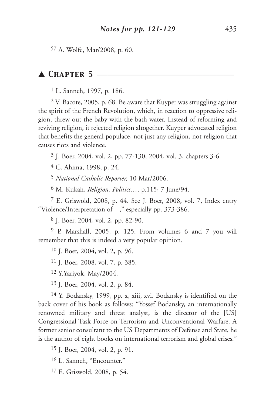57 A. Wolfe, Mar/2008, p. 60.

#### ▲ *Chapter 5* \_\_\_\_\_\_\_\_\_\_\_\_\_\_\_\_\_\_\_\_\_\_\_\_\_\_\_\_\_\_\_\_\_\_\_\_\_\_\_

1 L. Sanneh, 1997, p. 186.

 $2$  V. Bacote, 2005, p. 68. Be aware that Kuyper was struggling against the spirit of the French Revolution, which, in reaction to oppressive religion, threw out the baby with the bath water. Instead of reforming and reviving religion, it rejected religion altogether. Kuyper advocated religion that benefits the general populace, not just any religion, not religion that causes riots and violence.

3 J. Boer, 2004, vol. 2, pp. 77-130; 2004, vol. 3, chapters 3-6.

4 C. Ahima, 1998, p. 24.

5 *National Catholic Reporter,* 10 Mar/2006.

6 M. Kukah, *Religion, Politics…,* p.115; 7 June/94.

7 E. Griswold, 2008, p. 44. See J. Boer, 2008, vol. 7, Index entry "Violence/Interpretation of—," especially pp. 373-386.

8 J. Boer, 2004, vol. 2, pp. 82-90.

9 P. Marshall, 2005, p. 125. From volumes 6 and 7 you will remember that this is indeed a very popular opinion.

10 J. Boer, 2004, vol. 2, p. 96.

11 J. Boer, 2008, vol. 7, p. 385.

12 Y.Yariyok, May/2004.

13 J. Boer, 2004, vol. 2, p. 84.

14 Y. Bodansky, 1999, pp. x, xiii, xvi. Bodansky is identified on the back cover of his book as follows: "Yossef Bodansky, an internationally renowned military and threat analyst, is the director of the [US] Congressional Task Force on Terrorism and Unconventional Warfare. A former senior consultant to the US Departments of Defense and State, he is the author of eight books on international terrorism and global crises."

15 J. Boer, 2004, vol. 2, p. 91.

16 L. Sanneh, "Encounter."

17 E. Griswold, 2008, p. 54.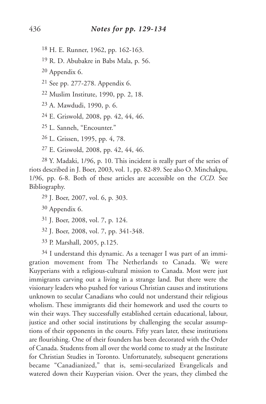- 18 H. E. Runner, 1962, pp. 162-163.
- 19 R. D. Abubakre in Babs Mala, p. 56.

20 Appendix 6.

- 21 See pp. 277-278. Appendix 6.
- 22 Muslim Institute, 1990, pp. 2, 18.
- 23 A. Mawdudi, 1990, p. 6.
- 24 E. Griswold, 2008, pp. 42, 44, 46.
- 25 L. Sanneh, "Encounter."
- 26 L. Grissen, 1995, pp. 4, 78.
- 27 E. Griswold, 2008, pp. 42, 44, 46.

28 Y. Madaki, 1/96, p. 10. This incident is really part of the series of riots described in J. Boer, 2003, vol. 1, pp. 82-89. See also O. Minchakpu, 1/96, pp. 6-8. Both of these articles are accessible on the *CCD.* See Bibliography.

- 29 J. Boer, 2007, vol. 6, p. 303.
- 30 Appendix 6.
- 31 J. Boer, 2008, vol. 7, p. 124.
- 32 J. Boer, 2008, vol. 7, pp. 341-348.
- 33 P. Marshall, 2005, p.125.

 $34$  I understand this dynamic. As a teenager I was part of an immigration movement from The Netherlands to Canada. We were Kuyperians with a religious-cultural mission to Canada. Most were just immigrants carving out a living in a strange land. But there were the visionary leaders who pushed for various Christian causes and institutions unknown to secular Canadians who could not understand their religious wholism. These immigrants did their homework and used the courts to win their ways. They successfully established certain educational, labour, justice and other social institutions by challenging the secular assumptions of their opponents in the courts. Fifty years later, these institutions are flourishing. One of their founders has been decorated with the Order of Canada. Students from all over the world come to study at the Institute for Christian Studies in Toronto. Unfortunately, subsequent generations became "Canadianized," that is, semi-secularized Evangelicals and watered down their Kuyperian vision. Over the years, they climbed the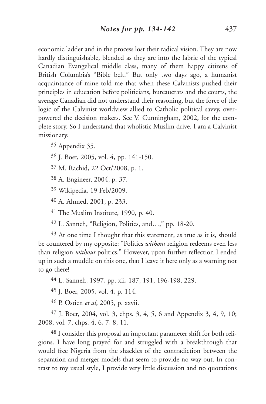economic ladder and in the process lost their radical vision. They are now hardly distinguishable, blended as they are into the fabric of the typical Canadian Evangelical middle class, many of them happy citizens of British Columbia's "Bible belt." But only two days ago, a humanist acquaintance of mine told me that when these Calvinists pushed their principles in education before politicians, bureaucrats and the courts, the average Canadian did not understand their reasoning, but the force of the logic of the Calvinist worldview allied to Catholic political savvy, overpowered the decision makers. See V. Cunningham, 2002, for the complete story. So I understand that wholistic Muslim drive. I am a Calvinist missionary.

35 Appendix 35.

36 J. Boer, 2005, vol. 4, pp. 141-150.

37 M. Rachid, 22 Oct/2008, p. 1.

38 A. Engineer, 2004, p. 37.

39 Wikipedia, 19 Feb/2009.

40 A. Ahmed, 2001, p. 233.

41 The Muslim Institute, 1990, p. 40.

42 L. Sanneh, "Religion, Politics, and…," pp. 18-20.

 $43$  At one time I thought that this statement, as true as it is, should be countered by my opposite: "Politics *without* religion redeems even less than religion *without* politics." However, upon further reflection I ended up in such a muddle on this one, that I leave it here only as a warning not to go there!

44 L. Sanneh, 1997, pp. xii, 187, 191, 196-198, 229.

45 J. Boer, 2005, vol. 4, p. 114.

46 P. Ostien *et al*, 2005, p. xxvii.

47 J. Boer, 2004, vol. 3, chps. 3, 4, 5, 6 and Appendix 3, 4, 9, 10; 2008, vol. 7, chps. 4, 6, 7, 8, 11.

48 I consider this proposal an important parameter shift for both religions. I have long prayed for and struggled with a breakthrough that would free Nigeria from the shackles of the contradiction between the separation and merger models that seem to provide no way out. In contrast to my usual style, I provide very little discussion and no quotations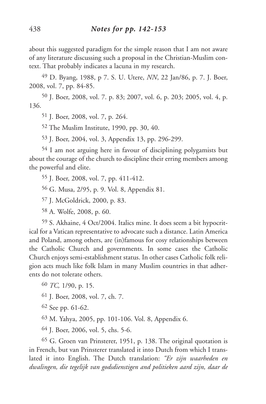about this suggested paradigm for the simple reason that I am not aware of any literature discussing such a proposal in the Christian-Muslim context. That probably indicates a lacuna in my research.

49 D. Byang, 1988, p 7. S. U. Utere, *NN*, 22 Jan/86, p. 7. J. Boer, 2008, vol. 7, pp. 84-85.

50 J. Boer, 2008, vol. 7. p. 83; 2007, vol. 6, p. 203; 2005, vol. 4, p. 136.

51 J. Boer, 2008, vol. 7, p. 264.

52 The Muslim Institute, 1990, pp. 30, 40.

53 J. Boer, 2004, vol. 3, Appendix 13, pp. 296-299.

54 I am not arguing here in favour of disciplining polygamists but about the courage of the church to discipline their erring members among the powerful and elite.

55 J. Boer, 2008, vol. 7, pp. 411-412.

56 G. Musa, 2/95, p. 9. Vol. 8, Appendix 81.

57 J. McGoldrick, 2000, p. 83.

58 A. Wolfe, 2008, p. 60.

59 S. Akhaine, 4 Oct/2004. Italics mine. It does seem a bit hypocritical for a Vatican representative to advocate such a distance. Latin America and Poland, among others, are (in)famous for cosy relationships between the Catholic Church and governments. In some cases the Catholic Church enjoys semi-establishment status. In other cases Catholic folk religion acts much like folk Islam in many Muslim countries in that adherents do not tolerate others.

60 *TC,* 1/90, p. 15.

61 J. Boer, 2008, vol. 7, ch. 7.

 $62$  See pp. 61-62.

63 M. Yahya, 2005, pp. 101-106. Vol. 8, Appendix 6.

64 J. Boer, 2006, vol. 5, chs. 5-6.

65 G. Groen van Prinsterer, 1951, p. 138. The original quotation is in French, but van Prinsterer translated it into Dutch from which I translated it into English. The Dutch translation: *"Er zijn waarheden en dwalingen, die tegelijk van godsdienstigen and politieken aard zijn, daar de*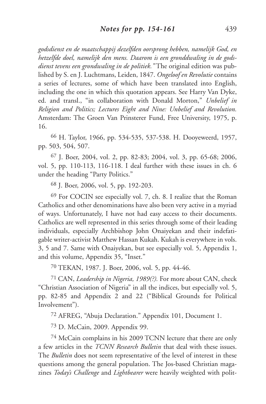*godsdienst en de maatschappij dezelfden oorsprong hebben, namelijk God, en hetzelfde doel, namelijk den mens. Daarom is een gronddwaling in de godsdienst tevens een grondwaling in de politiek."* The original edition was published by S. en J. Luchtmans, Leiden, 1847. *Ongeloof en Revolutie* contains a series of lectures, some of which have been translated into English, including the one in which this quotation appears. See Harry Van Dyke, ed. and transl., "in collaboration with Donald Morton," *Unbelief in Religion and Politics; Lectures Eight and Nine: Unbelief and Revolution.* Amsterdam: The Groen Van Prinsterer Fund, Free University, 1975, p. 16.

66 H. Taylor, 1966, pp. 534-535, 537-538. H. Dooyeweerd, 1957, pp. 503, 504, 507.

67 J. Boer, 2004, vol. 2, pp. 82-83; 2004, vol. 3, pp. 65-68; 2006, vol. 5, pp. 110-113, 116-118. I deal further with these issues in ch. 6 under the heading "Party Politics."

68 J. Boer, 2006, vol. 5, pp. 192-203.

69 For COCIN see especially vol. 7, ch. 8. I realize that the Roman Catholics and other denominations have also been very active in a myriad of ways. Unfortunately, I have not had easy access to their documents. Catholics are well represented in this series through some of their leading individuals, especially Archbishop John Onaiyekan and their indefatigable writer-activist Matthew Hassan Kukah. Kukah is everywhere in vols. 3, 5 and 7. Same with Onaiyekan, but see especially vol. 5, Appendix 1, and this volume, Appendix 35, "Inset."

70 TEKAN, 1987. J. Boer, 2006, vol. 5, pp. 44-46.

71 CAN, *Leadership in Nigeria, 1989(?).* For more about CAN, check "Christian Association of Nigeria" in all the indices, but especially vol. 5, pp. 82-85 and Appendix 2 and 22 ("Biblical Grounds for Political Involvement").

72 AFREG, "Abuja Declaration." Appendix 101, Document 1.

73 D. McCain, 2009. Appendix 99.

74 McCain complains in his 2009 TCNN lecture that there are only a few articles in the *TCNN Research Bulletin* that deal with these issues. The *Bulletin* does not seem representative of the level of interest in these questions among the general population. The Jos-based Christian magazines *Today's Challenge* and *Lightbearer* were heavily weighted with polit-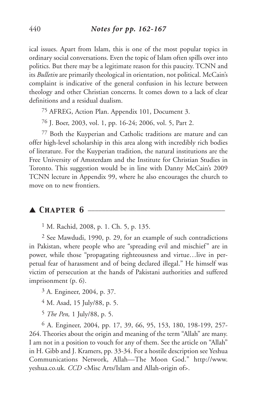ical issues. Apart from Islam, this is one of the most popular topics in ordinary social conversations. Even the topic of Islam often spills over into politics. But there may be a legitimate reason for this paucity. TCNN and its *Bulletin* are primarily theological in orientation, not political. McCain's complaint is indicative of the general confusion in his lecture between theology and other Christian concerns. It comes down to a lack of clear definitions and a residual dualism.

75 AFREG, Action Plan. Appendix 101, Document 3.

76 J. Boer, 2003, vol. 1, pp. 16-24; 2006, vol. 5, Part 2.

77 Both the Kuyperian and Catholic traditions are mature and can offer high-level scholarship in this area along with incredibly rich bodies of literature. For the Kuyperian tradition, the natural institutions are the Free University of Amsterdam and the Institute for Christian Studies in Toronto. This suggestion would be in line with Danny McCain's 2009 TCNN lecture in Appendix 99, where he also encourages the church to move on to new frontiers.

#### ▲ *Chapter 6* \_\_\_\_\_\_\_\_\_\_\_\_\_\_\_\_\_\_\_\_\_\_\_\_\_\_\_\_\_\_\_\_\_\_\_\_\_\_\_

<sup>1</sup> M. Rachid, 2008, p. 1. Ch. 5, p. 135.

2 See Mawdudi, 1990, p. 29, for an example of such contradictions in Pakistan, where people who are "spreading evil and mischief" are in power, while those "propagating righteousness and virtue…live in perpetual fear of harassment and of being declared illegal." He himself was victim of persecution at the hands of Pakistani authorities and suffered imprisonment (p. 6).

3 A. Engineer, 2004, p. 37.

4 M. Asad, 15 July/88, p. 5.

5 *The Pen,* 1 July/88, p. 5.

6 A. Engineer, 2004, pp. 17, 39, 66, 95, 153, 180, 198-199, 257- 264. Theories about the origin and meaning of the term "Allah" are many. I am not in a position to vouch for any of them. See the article on "Allah" in H. Gibb and J. Kramers, pp. 33-34. For a hostile description see Yeshua Communications Network, Allah—The Moon God." http://www. yeshua.co.uk. *CCD* <Misc Arts/Islam and Allah-origin of>.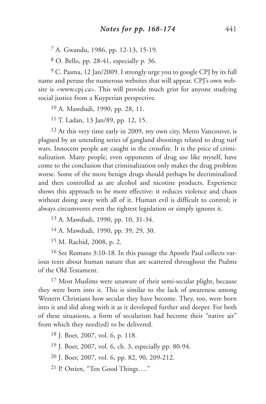7 A. Gwandu, 1986, pp. 12-13, 15-19.

8 O. Bello, pp. 28-41, especially p. 36.

9 C. Pasma, 12 Jan/2009. I strongly urge you to google CPJ by its full name and peruse the numerous websites that will appear. CPJ's own website is <www.cpj.ca>. This will provide much grist for anyone studying social justice from a Kuyperian perspective.

10 A. Mawdudi, 1990, pp. 28, 11.

11 T. Ladan, 13 Jan/89, pp. 12, 15.

<sup>12</sup> At this very time early in 2009, my own city, Metro Vancouver, is plagued by an unending series of gangland shootings related to drug turf wars. Innocent people are caught in the crossfire. It is the price of criminalization. Many people, even opponents of drug use like myself, have come to the conclusion that criminalization only makes the drug problem worse. Some of the more benign drugs should perhaps be decriminalized and then controlled as are alcohol and nicotine products. Experience shows this approach to be more effective: it reduces violence and chaos without doing away with all of it. Human evil is difficult to control; it always circumvents even the tightest legislation or simply ignores it.

13 A. Mawdudi, 1990, pp. 10, 31-34.

14 A. Mawdudi, 1990, pp. 39, 29, 30.

15 M. Rachid, 2008, p. 2.

16 See Romans 3:10-18. In this passage the Apostle Paul collects various texts about human nature that are scattered throughout the Psalms of the Old Testament.

17 Most Muslims were unaware of their semi-secular plight, because they were born into it. This is similar to the lack of awareness among Western Christians how secular they have become. They, too, were born into it and slid along with it as it developed further and deeper. For both of these situations, a form of secularism had become their "native air" from which they need(ed) to be delivered.

18 J. Boer, 2007, vol. 6, p. 118.

19 J. Boer, 2007, vol. 6, ch. 3, especially pp. 80-94.

20 J. Boer, 2007, vol. 6, pp. 82, 90, 209-212.

21 P. Ostien, "Ten Good Things…."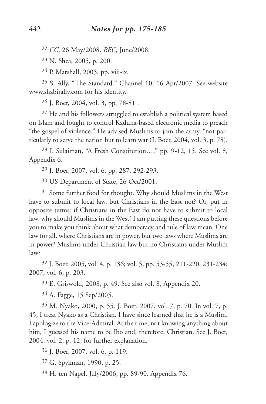22 *CC*, 26 May/2008. *REC*, June/2008.

23 N. Shea, 2005, p. 200.

24 P. Marshall, 2005, pp. viii-ix.

25 S. Ally, "The Standard." Channel 10, 16 Apr/2007. See website www.shabirally.com for his identity.

26 J. Boer, 2004, vol. 3, pp. 78-81 .

<sup>27</sup> He and his followers struggled to establish a political system based on Islam and fought to control Kaduna-based electronic media to preach "the gospel of violence." He advised Muslims to join the army, "not particularly to serve the nation but to learn war (J. Boer, 2004, vol. 3, p. 78).

28 I. Sulaiman, "A Fresh Constitution…," pp. 9-12, 15. See vol. 8, Appendix 6.

29 J. Boer, 2007, vol. 6, pp. 287, 292-293.

30 US Department of State, 26 Oct/2001.

31 Some further food for thought. Why should Muslims in the West have to submit to local law, but Christians in the East not? Or, put in opposite terms: if Christians in the East do not have to submit to local law, why should Muslims in the West? I am putting these questions before you to make you think about what democracy and rule of law mean. One law for all, where Christians are in power, but two laws where Muslims are in power? Muslims under Christian law but no Christians under Muslim law?

32 J. Boer, 2005, vol. 4, p. 136; vol. 5, pp. 53-55, 211-220, 231-234; 2007, vol. 6, p. 203.

33 E. Griswold, 2008, p. 49. See also vol. 8, Appendix 20.

34 A. Fagge, 15 Sep/2005.

35 M. Nyako, 2000, p. 55. J. Boer, 2007, vol. 7, p. 70. In vol. 7, p. 45, I treat Nyako as a Christian. I have since learned that he is a Muslim. I apologize to the Vice-Admiral. At the time, not knowing anything about him, I guessed his name to be Ibo and, therefore, Christian. See J. Boer, 2004, vol. 2, p. 12, for further explanation.

36 J. Boer, 2007, vol. 6, p. 119.

37 G. Spykman, 1990, p. 25.

38 H. ten Napel, July/2006, pp. 89-90. Appendix 76.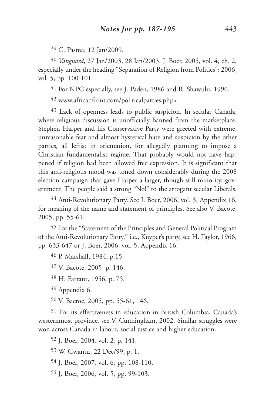39 C. Pasma, 12 Jan/2009.

40 *Vanguard*, 27 Jan/2003, 28 Jan/2003. J. Boer, 2005, vol. 4, ch. 2, especially under the heading "Separation of Religion from Politics"; 2006, vol. 5, pp. 100-101.

41 For NPC especially, see J. Paden, 1986 and R. Shawulu, 1990.

42 www.africanfront.com/politicalparties.php>

43 Lack of openness leads to public suspicion. In secular Canada, where religious discussion is unofficially banned from the marketplace, Stephen Harper and his Conservative Party were greeted with extreme, unreasonable fear and almost hysterical hate and suspicion by the other parties, all leftist in orientation, for allegedly planning to impose a Christian fundamentalist regime. That probably would not have happened if religion had been allowed free expression. It is significant that this anti-religious mood was toned down considerably during the 2008 election campaign that gave Harper a larger, though still minority, government. The people said a strong "No!" to the arrogant secular Liberals.

44 Anti-Revolutionary Party. See J. Boer, 2006, vol. 5, Appendix 16, for meaning of the name and statement of principles. See also V. Bacote, 2005, pp. 55-61.

45 For the "Statement of the Principles and General Political Program of the Anti-Revolutionary Party," i.e., Kuyper's party, see H. Taylor, 1966, pp. 633-647 or J. Boer, 2006, vol. 5, Appendix 16.

46 P. Marshall, 1984, p.15.

47 V. Bacote, 2005, p. 146.

48 H. Farrant, 1956, p. 75.

49 Appendix 6.

50 V. Bactoe, 2005, pp. 55-61, 146.

51 For its effectiveness in education in British Columbia, Canada's westernmost province, see V. Cunningham, 2002. Similar struggles were won across Canada in labour, social justice and higher education.

52 J. Boer, 2004, vol. 2, p. 141.

53 W. Gwantu, 22 Dec/99, p. 1.

54 J. Boer, 2007, vol. 6, pp. 108-110.

55 J. Boer, 2006, vol. 5, pp. 99-103.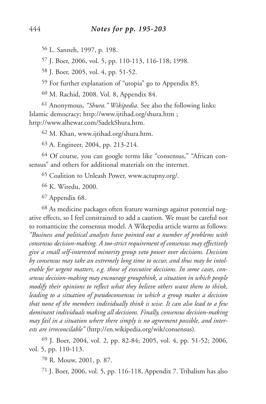56 L. Sanneh, 1997, p. 198.

57 J. Boer, 2006, vol. 5, pp. 110-113, 116-118; 1998.

58 J. Boer, 2005, vol. 4, pp. 51-52.

59 For further explanation of "utopia" go to Appendix 85.

60 M. Rachid, 2008. Vol. 8, Appendix 84.

61 Anonymous, *"Shura." Wikipedia.* See also the following links: Islamic democracy; http://www.ijtihad.org/shura.htm ; http://www.alhewar.com/SadekShura.htm.

62 M. Khan, www.ijtihad.org/shura.htm.

63 A. Engineer, 2004, pp. 213-214.

64 Of course, you can google terms like "consensus," "African consensus" and others for additional materials on the internet.

65 Coalition to Unleash Power, www.actupny.org/.

66 K. Wiredu, 2000.

67 Appendix 68.

68 As medicine packages often feature warnings against potential negative effects, so I feel constrained to add a caution. We must be careful not to romanticize the consensus model. A Wikepedia article warns as follows: *"Business and political analysts have pointed out a number of problems with consensus decision-making. A too-strict requirement of consensus may effectively give a small self-interested minority group veto power over decisions. Decision by consensus may take an extremely long time to occur, and thus may be intolerable for urgent matters, e.g. those of executive decisions. In some cases, consensus decision-making may encourage groupthink, a situation in which people modify their opinions to reflect what they believe others want them to think, leading to a situation of pseudoconsensus in which a group makes a decision that none of the members individually think is wise. It can also lead to a few dominant individuals making all decisions. Finally, consensus decision-making may fail in a situation where there simply is no agreement possible, and interests are irreconcilable"* (http://en.wikipedia.org/wik/consensus).

69 J. Boer, 2004, vol. 2, pp. 82-84; 2005, vol. 4, pp. 51-52; 2006, vol. 5, pp. 110-113.

70 R. Mouw, 2001, p. 87.

71 J. Boer, 2006, vol. 5, pp. 116-118, Appendix 7. Tribalism has also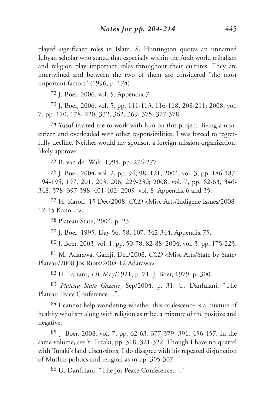played significant roles in Islam. S. Huntington quotes an unnamed Libyan scholar who stated that especially within the Arab world tribalism and religion play important roles throughout their cultures. They are intertwined and between the two of them are considered "the most important factors" (1996, p. 174).

72 J. Boer, 2006, vol. 5, Appendix 7.

73 J. Boer, 2006, vol. 5, pp. 111-113, 116-118, 208-211; 2008, vol. 7, pp. 120, 178, 220, 332, 362, 369, 375, 377-378.

74 Yusuf invited me to work with him on this project. Being a noncitizen and overloaded with other responsibilities, I was forced to regretfully decline. Neither would my sponsor, a foreign mission organization, likely approve.

75 B. van der Walt, 1994, pp. 276-277.

76 J. Boer, 2004, vol. 2, pp. 94, 98, 121; 2004, vol. 3, pp. 186-187, 194-195, 197, 201, 203, 206, 229-230; 2008, vol. 7, pp. 62-63, 346- 348, 378, 397-398, 401-402; 2009, vol. 8, Appendix 6 and 35.

77 H. Karofi, 15 Dec/2008. *CCD* <Misc Arts/Indigene Issues/2008- 12-15 Kano…>.

78 Plateau State, 2004, p. 23.

79 J. Boer, 1995, Day 56, 58, 107, 342-344. Appendix 75.

80 J. Boer, 2003, vol. 1, pp. 50-78, 82-88; 2004, vol. 3, pp. 175-223.

81 M. Adarawa, Gamji, Dec/2008. *CCD* <Misc Arts/State by State/ Plateau/2008 Jos Riots/2008-12 Adarawa>.

82 H. Farrant, *LB*, May/1921, p. 71. J. Boer, 1979, p. 300.

83 *Plateau State Gazette*, Sep/2004, p. 31. U. Danfulani, "The Plateau Peace Conference…".

84 I cannot help wondering whether this coalescence is a mixture of healthy wholism along with religion as tribe, a mixture of the positive and negative.

85 J. Boer, 2008, vol. 7, pp. 62-63, 377-379, 391, 456-457. In the same volume, see Y. Turaki, pp. 318, 321-322. Though I have no quarrel with Turaki's land discussions, I do disagree with his repeated disjunction of Muslim politics and religion as in pp. 305-307.

86 U. Danfulani, "The Jos Peace Conference…."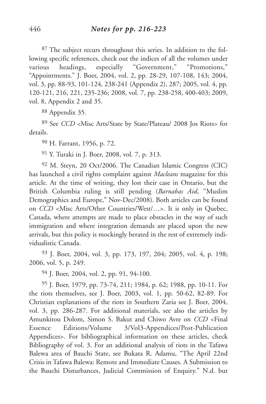<sup>87</sup> The subject recurs throughout this series. In addition to the following specific references, check out the indices of all the volumes under various headings, especially "Government," "Promotions," "Appointments." J. Boer, 2004, vol. 2, pp. 28-29, 107-108, 143; 2004, vol. 3, pp. 88-93, 101-124, 238-241 (Appendix 2), 287; 2005, vol. 4, pp. 120-121, 216, 221, 235-236; 2008, vol. 7, pp. 238-258, 400-403; 2009, vol. 8, Appendix 2 and 35.

88 Appendix 35.

89 See *CCD* <Misc Arts/State by State/Plateau/ 2008 Jos Riots> for details.

90 H. Farrant, 1956, p. 72.

91 Y. Turaki in J. Boer, 2008, vol. 7, p. 313.

92 M. Steyn, 20 Oct/2006. The Canadian Islamic Congress (CIC) has launched a civil rights complaint against *Macleans* magazine for this article. At the time of writing, they lost their case in Ontario, but the British Columbia ruling is still pending (*Barnabas Aid*, "Muslim Demographics and Europe," Nov-Dec/2008). Both articles can be found on *CCD* <Misc Arts/Other Countries/West/…>. It is only in Quebec, Canada, where attempts are made to place obstacles in the way of such immigration and where integration demands are placed upon the new arrivals, but this policy is mockingly berated in the rest of extremely individualistic Canada.

93 J. Boer, 2004, vol. 3, pp. 173, 197, 204; 2005, vol. 4, p. 198; 2006, vol. 5, p. 249.

94 J. Boer, 2004, vol. 2, pp. 91, 94-100.

95 J. Boer, 1979, pp. 73-74, 211; 1984, p. 62; 1988, pp. 10-11. For the riots themselves, see J. Boer, 2003, vol. 1, pp. 50-62, 82-89. For Christian explanations of the riots in Southern Zaria see J. Boer, 2004, vol. 3, pp. 286-287. For additional materials, see also the articles by Amunkitou Dolom, Simon S. Bakut and Chiwo Avre on *CCD* <Final Essence Editions/Volume 3/Vol3-Appendices/Post-Publication Appendices>. For bibliographical information on these articles, check Bibliography of vol. 3. For an additional analysis of riots in the Tafawa Balewa area of Bauchi State, see Bukata R. Adamu, "The April 22nd Crisis in Tafawa Balewa: Remote and Immediate Causes. A Submission to the Bauchi Disturbances, Judicial Commission of Enquiry." N.d. but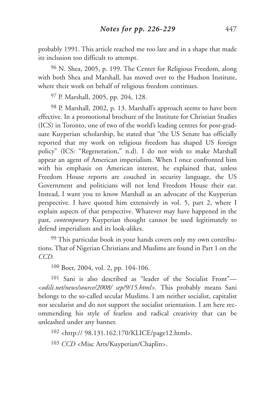probably 1991. This article reached me too late and in a shape that made its inclusion too difficult to attempt.

96 N. Shea, 2005, p. 199. The Center for Religious Freedom, along with both Shea and Marshall, has moved over to the Hudson Institute, where their work on behalf of religious freedom continues.

97 P. Marshall, 2005, pp. 204, 128.

98 P. Marshall, 2002, p. 13. Marshall's approach seems to have been effective. In a promotional brochure of the Institute for Christian Studies (ICS) in Toronto, one of two of the world's leading centres for post-graduate Kuyperian scholarship, he stated that "the US Senate has officially reported that my work on religious freedom has shaped US foreign policy" (ICS: "Regeneration," n.d). I do not wish to make Marshall appear an agent of American imperialism. When I once confronted him with his emphasis on American interest, he explained that, unless Freedom House reports are couched in security language, the US Government and politicians will not lend Freedom House their ear. Instead, I want you to know Marshall as an advocate of the Kuyperian perspective. I have quoted him extensively in vol. 5, part 2, where I explain aspects of that perspective. Whatever may have happened in the past, *contemporary* Kuyperian thought cannot be used legitimately to defend imperialism and its look-alikes.

99 This particular book in your hands covers only my own contributions. That of Nigerian Christians and Muslims are found in Part 1 on the *CCD.*

100 Boer, 2004, vol. 2, pp. 104-106.

101 Sani is also described as "leader of the Socialist Front"— <*odili.net/news/source/2008/ sep/9/15.html>.* This probably means Sani belongs to the so-called secular Muslims. I am neither socialist, capitalist nor secularist and do not support the socialist orientation. I am here recommending his style of fearless and radical creativity that can be unleashed under any banner.

102 <http:// 98.131.162.170/KLICE/page12.html>.

103 *CCD* <Misc Arts/Kuyperian/Chaplin>.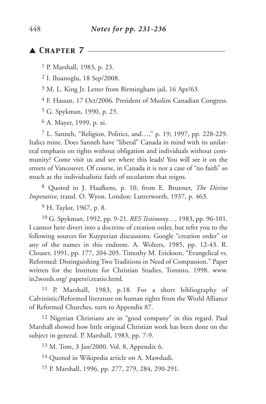# ▲ **CHAPTER** 7 <u></u>

1 P. Marshall, 1983, p. 23.

2 I. Ihsanoglu, 18 Sep/2008.

3 M. L. King Jr. Letter from Birmingham jail, 16 Apr/63.

4 F. Hassan, 17 Oct/2006. President of Muslim Canadian Congress.

5 G. Spykman, 1990, p. 25.

6 A. Mayer, 1999, p. xi.

7 L. Sanneh, "Religion, Politics, and…," p. 19; 1997, pp. 228-229. Italics mine. Does Sanneh have "liberal" Canada in mind with its unilateral emphasis on rights without obligation and individuals without community? Come visit us and see where this leads! You will see it on the streets of Vancouver. Of course, in Canada it is not a case of "no faith" so much as the individualistic faith of secularism that reigns.

8 Quoted in J. Haafkens, p. 10, from E. Brunner, *The Divine Imperative*, transl. O. Wyon. London: Lutterworth, 1937, p. 463.

9 H. Taylor, 1967, p. 8.

10 G. Spykman, 1992, pp. 9-21. *RES Testimony…,* 1983, pp. 96-101. I cannot here divert into a doctrine of creation order, but refer you to the following sources for Kuyperian discussions. Google "creation order" or any of the names in this endnote. A. Wolters, 1985, pp. 12-43. R. Clouser, 1991, pp. 177, 204-205. Timothy M. Erickson, "Evangelical vs. Reformed: Distinguishing Two Traditions in Need of Compassion." Paper written for the Institute for Christian Studies, Toronto, 1998. www. in2words.org/ papers/creatio.html.

11 P. Marshall, 1983, p.18. For a short bibliography of Calvinistic/Reformed literature on human rights from the World Alliance of Reformed Churches, turn to Appendix 87.

12 Nigerian Christians are in "good company" in this regard. Paul Marshall showed how little original Christian work has been done on the subject in general. P. Marshall, 1983, pp. 7-9.

13 M. Tom, 3 Jan/2000. Vol. 8, Appendix 6.

<sup>14</sup> Quoted in Wikipedia article on A. Mawdudi.

15 P. Marshall, 1996, pp. 277, 279, 284, 290-291.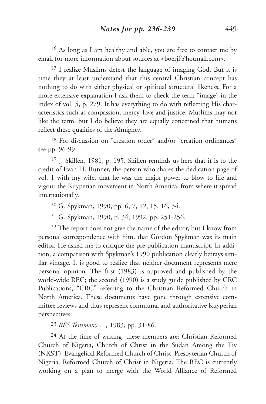16 As long as I am healthy and able, you are free to contact me by email for more information about sources at <br/> <br/>boerjf@hotmail.com>.

<sup>17</sup> I realize Muslims detest the language of imaging God. But it is time they at least understand that this central Christian concept has nothing to do with either physical or spiritual structural likeness. For a more extensive explanation I ask them to check the term "image" in the index of vol. 5, p. 279. It has everything to do with reflecting His characteristics such as compassion, mercy, love and justice. Muslims may not like the term, but I do believe they are equally concerned that humans reflect these qualities of the Almighty.

18 For discussion on "creation order" and/or "creation ordinances" see pp. 96-99.

19 J. Skillen, 1981, p. 195. Skillen reminds us here that it is to the credit of Evan H. Runner, the person who shares the dedication page of vol. 1 with my wife, that he was the major power to blow to life and vigour the Kuyperian movement in North America, from where it spread internationally.

20 G. Spykman, 1990, pp. 6, 7, 12, 15, 16, 34.

21 G. Spykman, 1990, p. 34; 1992, pp. 251-256.

22 The report does not give the name of the editor, but I know from personal correspondence with him, that Gordon Spykman was its main editor. He asked me to critique the pre-publication manuscript. In addition, a comparison with Spykman's 1990 publication clearly betrays similar vintage. It is good to realize that neither document represents mere personal opinion. The first (1983) is approved and published by the world-wide REC; the second (1990) is a study guide published by CRC Publications, "CRC" referring to the Christian Reformed Church in North America. These documents have gone through extensive committee reviews and thus represent communal and authoritative Kuyperian perspectives.

23 *RES Testimony….,* 1983, pp. 31-86.

24 At the time of writing, these members are: Christian Reformed Church of Nigeria, Church of Christ in the Sudan Among the Tiv (NKST), Evangelical Reformed Church of Christ, Presbyterian Church of Nigeria, Reformed Church of Christ in Nigeria. The REC is currently working on a plan to merge with the World Alliance of Reformed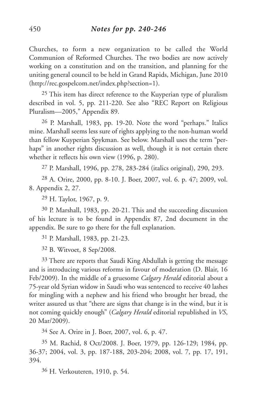Churches, to form a new organization to be called the World Communion of Reformed Churches. The two bodies are now actively working on a constitution and on the transition, and planning for the uniting general council to be held in Grand Rapids, Michigan, June 2010 (http://rec.gospelcom.net/index.php?section=1).

25 This item has direct reference to the Kuyperian type of pluralism described in vol. 5, pp. 211-220. See also "REC Report on Religious Pluralism—2005," Appendix 89.

26 P. Marshall, 1983, pp. 19-20. Note the word "perhaps." Italics mine. Marshall seems less sure of rights applying to the non-human world than fellow Kuyperian Spykman. See below. Marshall uses the term "perhaps" in another rights discussion as well, though it is not certain there whether it reflects his own view (1996, p. 280).

27 P. Marshall, 1996, pp. 278, 283-284 (italics original), 290, 293.

28 A. Orire, 2000, pp. 8-10. J. Boer, 2007, vol. 6. p. 47; 2009, vol. 8. Appendix 2, 27.

29 H. Taylor, 1967, p. 9.

30 P. Marshall, 1983, pp. 20-21. This and the succeeding discussion of his lecture is to be found in Appendix 87, 2nd document in the appendix. Be sure to go there for the full explanation.

31 P. Marshall, 1983, pp. 21-23.

32 B. Witvoet, 8 Sep/2008.

<sup>33</sup> There are reports that Saudi King Abdullah is getting the message and is introducing various reforms in favour of moderation (D. Blair, 16 Feb/2009). In the middle of a gruesome *Calgary Herald* editorial about a 75-year old Syrian widow in Saudi who was sentenced to receive 40 lashes for mingling with a nephew and his friend who brought her bread, the writer assured us that "there are signs that change is in the wind, but it is not coming quickly enough" (*Calgary Herald* editorial republished in *VS*, 20 Mar/2009).

34 See A. Orire in J. Boer, 2007, vol. 6, p. 47.

35 M. Rachid, 8 Oct/2008. J. Boer, 1979, pp. 126-129; 1984, pp. 36-37; 2004, vol. 3, pp. 187-188, 203-204; 2008, vol. 7, pp. 17, 191, 394.

36 H. Verkouteren, 1910, p. 54.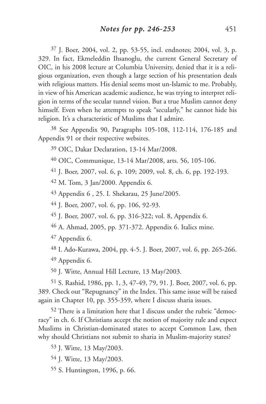37 J. Boer, 2004, vol. 2, pp. 53-55, incl. endnotes; 2004, vol. 3, p. 329. In fact, Ekmeleddin Ihsanoglu, the current General Secretary of OIC, in his 2008 lecture at Columbia University, denied that it is a religious organization, even though a large section of his presentation deals with religious matters. His denial seems most un-Islamic to me. Probably, in view of his American academic audience, he was trying to interpret religion in terms of the secular tunnel vision. But a true Muslim cannot deny himself. Even when he attempts to speak "secularly," he cannot hide his religion. It's a characteristic of Muslims that I admire.

38 See Appendix 90, Paragraphs 105-108, 112-114, 176-185 and Appendix 91 or their respective websites.

39 OIC, Dakar Declaration, 13-14 Mar/2008.

40 OIC, Communique, 13-14 Mar/2008, arts. 56, 105-106.

41 J. Boer, 2007, vol. 6, p. 109; 2009, vol. 8, ch. 6, pp. 192-193.

42 M. Tom, 3 Jan/2000. Appendix 6.

43 Appendix 6 , 25. I. Shekarau, 25 June/2005.

44 J. Boer, 2007, vol. 6, pp. 106, 92-93.

45 J. Boer, 2007, vol. 6, pp. 316-322; vol. 8, Appendix 6.

46 A. Ahmad, 2005, pp. 371-372. Appendix 6. Italics mine.

47 Appendix 6.

48 I. Ado-Kurawa, 2004, pp. 4-5. J. Boer, 2007, vol. 6, pp. 265-266.

49 Appendix 6.

50 J. Witte, Annual Hill Lecture, 13 May/2003.

51 S. Rashid, 1986, pp. 1, 3, 47-49, 79, 91. J. Boer, 2007, vol. 6, pp. 389. Check out "Repugnancy" in the Index. This same issue will be raised again in Chapter 10, pp. 355-359, where I discuss sharia issues.

52 There is a limitation here that I discuss under the rubric "democracy" in ch. 6. If Christians accept the notion of majority rule and expect Muslims in Christian-dominated states to accept Common Law, then why should Christians not submit to sharia in Muslim-majority states?

53 J. Witte, 13 May/2003.

54 J. Witte, 13 May/2003.

55 S. Huntington, 1996, p. 66.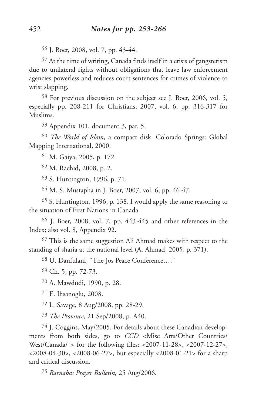J. Boer, 2008, vol. 7, pp. 43-44.

 At the time of writing, Canada finds itself in a crisis of gangsterism due to unilateral rights without obligations that leave law enforcement agencies powerless and reduces court sentences for crimes of violence to wrist slapping.

 For previous discussion on the subject see J. Boer, 2006, vol. 5, especially pp. 208-211 for Christians; 2007, vol. 6, pp. 316-317 for Muslims.

Appendix 101, document 3, par. 5.

 *The World of Islam*, a compact disk. Colorado Springs: Global Mapping International, 2000.

M. Gaiya, 2005, p. 172.

M. Rachid, 2008, p. 2.

S. Huntington, 1996, p. 71.

M. S. Mustapha in J. Boer, 2007, vol. 6, pp. 46-47.

 S. Huntington, 1996, p. 138. I would apply the same reasoning to the situation of First Nations in Canada.

 J. Boer, 2008, vol. 7, pp. 443-445 and other references in the Index; also vol. 8, Appendix 92.

 This is the same suggestion Ali Ahmad makes with respect to the standing of sharia at the national level (A. Ahmad, 2005, p. 371).

U. Danfulani, "The Jos Peace Conference…."

Ch. 5, pp. 72-73.

A. Mawdudi, 1990, p. 28.

E. Ihsanoglu, 2008.

L. Savage, 8 Aug/2008, pp. 28-29.

*The Province*, 21 Sep/2008, p. A40.

 J. Coggins, May/2005. For details about these Canadian developments from both sides, go to *CCD* <Misc Arts/Other Countries/ West/Canada/ > for the following files: <2007-11-28>, <2007-12-27>, <2008-04-30>, <2008-06-27>, but especially <2008-01-21> for a sharp and critical discussion.

*Barnabas Prayer Bulletin*, 25 Aug/2006.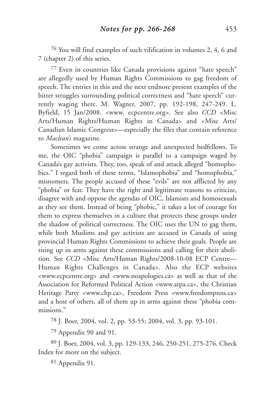76 You will find examples of such vilification in volumes 2, 4, 6 and 7 (chapter 2) of this series.

77 Even in countries like Canada provisions against "hate speech" are allegedly used by Human Rights Commissions to gag freedom of speech. The entries in this and the next endnote present examples of the bitter struggles surrounding political correctness and "hate speech" currently waging there. M. Wagner, 2007, pp. 192-198, 247-249. L. Byfield, 15 Jan/2008. <www. ecpcentre.org>. See also *CCD* <Misc Arts/Human Rights/Human Rights in Canada> and <Misc Arts/ Canadian Islamic Congress>—especially the files that contain reference to *Maclean's* magazine.

Sometimes we come across strange and unexpected bedfellows. To me, the OIC "phobia" campaign is parallel to a campaign waged by Canada's gay activists. They, too, speak of and attack alleged "homophobics." I regard both of these terms, "Islamophobia" and "homophobia," misnomers. The people accused of these "evils" are not afflicted by any "phobia" or fear. They have the right and legitimate reasons to criticize, disagree with and oppose the agendas of OIC, Islamists and homosexuals as they see them. Instead of being "phobic," it takes a lot of courage for them to express themselves in a culture that protects these groups under the shadow of political correctness. The OIC uses the UN to gag them, while both Muslims and gay activists are accused in Canada of using provincial Human Rights Commissions to achieve their goals. People are rising up in arms against these commissions and calling for their abolition. See *CCD* <Misc Arts/Human Rights/2008-10-08 ECP Centre— Human Rights Challenges in Canada>. Also the ECP websites <www.ecpcentre.org> and <www.noapologies.ca> as well as that of the Association for Reformed Political Action <www.arpa.ca>, the Christian Heritage Party <www.chp.ca>, Freedom Press <www.freedompress.ca> and a host of others, all of them up in arms against these "phobia commissions."

78 J. Boer, 2004, vol. 2, pp. 53-55; 2004, vol. 3, pp. 93-101.

79 Appendix 90 and 91.

80 J. Boer, 2004, vol. 3, pp. 129-133, 246, 250-251, 275-276. Check Index for more on the subject.

81 Appendix 91.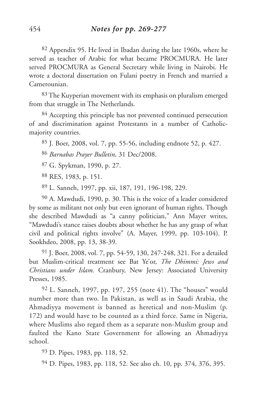82 Appendix 95. He lived in Ibadan during the late 1960s, where he served as teacher of Arabic for what became PROCMURA. He later served PROCMURA as General Secretary while living in Nairobi. He wrote a doctoral dissertation on Fulani poetry in French and married a Camerounian.

83 The Kuyperian movement with its emphasis on pluralism emerged from that struggle in The Netherlands.

<sup>84</sup> Accepting this principle has not prevented continued persecution of and discrimination against Protestants in a number of Catholicmajority countries.

85 J. Boer, 2008, vol. 7, pp. 55-56, including endnote 52, p. 427.

86 *Barnabas Prayer Bulletin*, 31 Dec/2008.

87 G. Spykman, 1990, p. 27.

88 RES, 1983, p. 151.

89 L. Sanneh, 1997, pp. xii, 187, 191, 196-198, 229.

90 A. Mawdudi, 1990, p. 30. This is the voice of a leader considered by some as militant not only but even ignorant of human rights. Though she described Mawdudi as "a canny politician," Ann Mayer writes, "Mawdudi's stance raises doubts about whether he has any grasp of what civil and political rights involve" (A. Mayer, 1999, pp. 103-104). P. Sookhdeo, 2008, pp. 13, 38-39.

91 J. Boer, 2008, vol. 7, pp. 54-59, 130, 247-248, 321. For a detailed but Muslim-critical treatment see Bat Ye'or, *The Dhimmi: Jews and Christians under Islam.* Cranbury, New Jersey: Associated University Presses, 1985.

92 L. Sanneh, 1997, pp. 197, 255 (note 41). The "houses" would number more than two. In Pakistan, as well as in Saudi Arabia, the Ahmadiyya movement is banned as heretical and non-Muslim (p. 172) and would have to be counted as a third force. Same in Nigeria, where Muslims also regard them as a separate non-Muslim group and faulted the Kano State Government for allowing an Ahmadiyya school.

93 D. Pipes, 1983, pp. 118, 52.

94 D. Pipes, 1983, pp. 118, 52. See also ch. 10, pp. 374, 376, 395.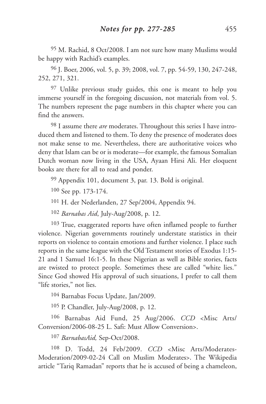95 M. Rachid, 8 Oct/2008. I am not sure how many Muslims would be happy with Rachid's examples.

96 J. Boer, 2006, vol. 5, p. 39; 2008, vol. 7, pp. 54-59, 130, 247-248, 252, 271, 321.

97 Unlike previous study guides, this one is meant to help you immerse yourself in the foregoing discussion, not materials from vol. 5. The numbers represent the page numbers in this chapter where you can find the answers.

98 I assume there *are* moderates. Throughout this series I have introduced them and listened to them. To deny the presence of moderates does not make sense to me. Nevertheless, there are authoritative voices who deny that Islam can be or is moderate—for example, the famous Somalian Dutch woman now living in the USA, Ayaan Hirsi Ali. Her eloquent books are there for all to read and ponder.

99 Appendix 101, document 3, par. 13. Bold is original.

100 See pp. 173-174.

101 H. der Nederlanden, 27 Sep/2004, Appendix 94.

102 *Barnabas Aid*, July-Aug/2008, p. 12.

103 True, exaggerated reports have often inflamed people to further violence. Nigerian governments routinely understate statistics in their reports on violence to contain emotions and further violence. I place such reports in the same league with the Old Testament stories of Exodus 1:15- 21 and 1 Samuel 16:1-5. In these Nigerian as well as Bible stories, facts are twisted to protect people. Sometimes these are called "white lies." Since God showed His approval of such situations, I prefer to call them "life stories," not lies.

104 Barnabas Focus Update, Jan/2009.

105 P. Chandler, July-Aug/2008, p. 12.

106 Barnabas Aid Fund, 25 Aug/2006. *CCD* <Misc Arts/ Conversion/2006-08-25 L. Safi: Must Allow Conversion>.

107 *BarnabasAid,* Sep-Oct/2008.

108 D. Todd, 24 Feb/2009. *CCD* <Misc Arts/Moderates-Moderation/2009-02-24 Call on Muslim Moderates>. The Wikipedia article "Tariq Ramadan" reports that he is accused of being a chameleon,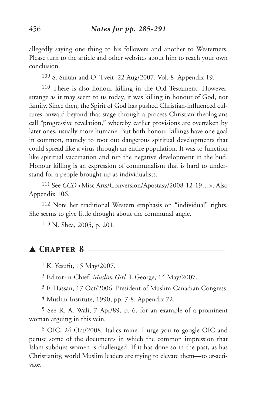allegedly saying one thing to his followers and another to Westerners. Please turn to the article and other websites about him to reach your own conclusion.

109 S. Sultan and O. Tveit, 22 Aug/2007. Vol. 8, Appendix 19.

110 There is also honour killing in the Old Testament. However, strange as it may seem to us today, it was killing in honour of God, not family. Since then, the Spirit of God has pushed Christian-influenced cultures onward beyond that stage through a process Christian theologians call "progressive revelation," whereby earlier provisions are overtaken by later ones, usually more humane. But both honour killings have one goal in common, namely to root out dangerous spiritual developments that could spread like a virus through an entire population. It was to function like spiritual vaccination and nip the negative development in the bud. Honour killing is an expression of communalism that is hard to understand for a people brought up as individualists.

111 See *CCD* <Misc Arts/Conversion/Apostasy/2008-12-19…>. Also Appendix 106.

112 Note her traditional Western emphasis on "individual" rights. She seems to give little thought about the communal angle.

113 N. Shea, 2005, p. 201.

#### ▲ *Chapter 8* \_\_\_\_\_\_\_\_\_\_\_\_\_\_\_\_\_\_\_\_\_\_\_\_\_\_\_\_\_\_\_\_\_\_\_\_\_\_\_

1 K. Yesufu, 15 May/2007.

2 Editor-in-Chief. *Muslim Girl.* L.George, 14 May/2007.

3 F. Hassan, 17 Oct/2006. President of Muslim Canadian Congress.

4 Muslim Institute, 1990, pp. 7-8. Appendix 72.

5 See R. A. Wali, 7 Apr/89, p. 6, for an example of a prominent woman arguing in this vein.

6 OIC, 24 Oct/2008. Italics mine. I urge you to google OIC and peruse some of the documents in which the common impression that Islam subdues women is challenged. If it has done so in the past, as has Christianity, world Muslim leaders are trying to elevate them—to *re-*activate.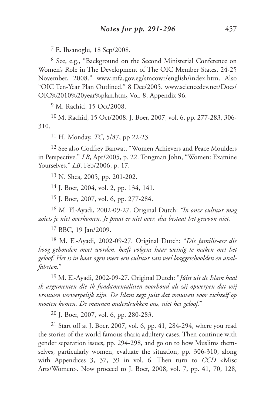7 E. Ihsanoglu, 18 Sep/2008.

8 See, e.g., "Background on the Second Ministerial Conference on Women's Role in The Development of The OIC Member States, 24-25 November, 2008." www.mfa.gov.eg/smcowr/english/index.htm. Also "OIC Ten-Year Plan Outlined." 8 Dec/2005. www.sciencedev.net/Docs/ OIC%2010%20year%plan.htm**,** Vol. 8, Appendix 96.

<sup>9</sup> M. Rachid, 15 Oct/2008.

10 M. Rachid, 15 Oct/2008. J. Boer, 2007, vol. 6, pp. 277-283, 306- 310.

11 H. Monday, *TC*, 5/87, pp 22-23.

<sup>12</sup> See also Godfrey Banwat, "Women Achievers and Peace Moulders in Perspective." *LB*, Apr/2005, p. 22. Tongman John, "Women: Examine Yourselves." *LB*, Feb/2006, p. 17.

13 N. Shea, 2005, pp. 201-202.

14 J. Boer, 2004, vol. 2, pp. 134, 141.

15 J. Boer, 2007, vol. 6, pp. 277-284.

16 M. El-Ayadi, 2002-09-27. Original Dutch: *"In onze cultuur mag zoiets je niet overkomen. Je praat er niet over, dus bestaat het gewoon niet.''*

17 BBC, 19 Jan/2009.

18 M. El-Ayadi, 2002-09-27. Original Dutch: "*Die familie-eer die hoog gehouden moet worden, heeft volgens haar weinig te maken met het geloof. Het is in haar ogen meer een cultuur van veel laaggeschoolden en analfabeten*."

19 M. El-Ayadi, 2002-09-27. Original Dutch: "*Júist uit de Islam haal ik argumenten die ik fundamentalisten voorhoud als zij opwerpen dat wij vrouwen verwerpelijk zijn. De Islam zegt juist dat vrouwen voor zichzelf op moeten komen. De mannen onderdrukken ons, niet het geloof.*"

20 J. Boer, 2007, vol. 6, pp. 280-283.

21 Start off at J. Boer, 2007, vol. 6, pp. 41, 284-294, where you read the stories of the world famous sharia adultery cases. Then continue with gender separation issues, pp. 294-298, and go on to how Muslims themselves, particularly women, evaluate the situation, pp. 306-310, along with Appendices 3, 37, 39 in vol. 6. Then turn to *CCD* <Misc Arts/Women>. Now proceed to J. Boer, 2008, vol. 7, pp. 41, 70, 128,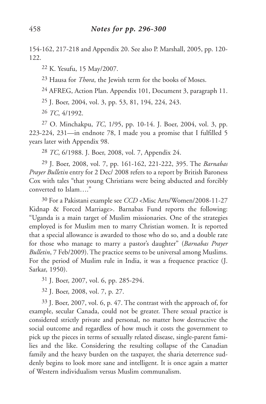154-162, 217-218 and Appendix 20. See also P. Marshall, 2005, pp. 120- 122.

22 K. Yesufu, 15 May/2007.

23 Hausa for *Thora*, the Jewish term for the books of Moses.

24 AFREG, Action Plan. Appendix 101, Document 3, paragraph 11.

25 J. Boer, 2004, vol. 3, pp. 53, 81, 194, 224, 243.

26 *TC*, 4/1992.

27 O. Minchakpu, *TC*, 1/95, pp. 10-14. J. Boer, 2004, vol. 3, pp. 223-224, 231—in endnote 78, I made you a promise that I fulfilled 5 years later with Appendix 98.

28 *TC*, 6/1988. J. Boer, 2008, vol. 7, Appendix 24.

29 J. Boer, 2008, vol. 7, pp. 161-162, 221-222, 395. The *Barnabas Prayer Bulletin* entry for 2 Dec/ 2008 refers to a report by British Baroness Cox with tales "that young Christians were being abducted and forcibly converted to Islam…."

30 For a Pakistani example see *CCD* <Misc Arts/Women/2008-11-27 Kidnap & Forced Marriage>. Barnabas Fund reports the following: "Uganda is a main target of Muslim missionaries. One of the strategies employed is for Muslim men to marry Christian women. It is reported that a special allowance is awarded to those who do so, and a double rate for those who manage to marry a pastor's daughter" (*Barnabas Prayer Bulletin*, 7 Feb/2009). The practice seems to be universal among Muslims. For the period of Muslim rule in India, it was a frequence practice (J. Sarkar, 1950).

31 J. Boer, 2007, vol. 6, pp. 285-294.

32 J. Boer, 2008, vol. 7, p. 27.

33 J. Boer, 2007, vol. 6, p. 47. The contrast with the approach of, for example, secular Canada, could not be greater. There sexual practice is considered strictly private and personal, no matter how destructive the social outcome and regardless of how much it costs the government to pick up the pieces in terms of sexually related disease, single-parent families and the like. Considering the resulting collapse of the Canadian family and the heavy burden on the taxpayer, the sharia deterrence suddenly begins to look more sane and intelligent. It is once again a matter of Western individualism versus Muslim communalism.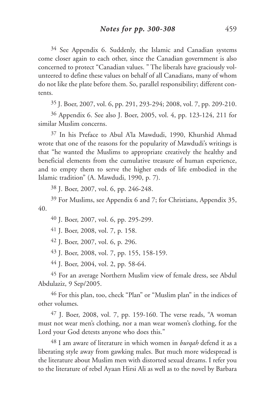<sup>34</sup> See Appendix 6. Suddenly, the Islamic and Canadian systems come closer again to each other, since the Canadian government is also concerned to protect "Canadian values. " The liberals have graciously volunteered to define these values on behalf of all Canadians, many of whom do not like the plate before them. So, parallel responsibility; different contents.

35 J. Boer, 2007, vol. 6, pp. 291, 293-294; 2008, vol. 7, pp. 209-210.

36 Appendix 6. See also J. Boer, 2005, vol. 4, pp. 123-124, 211 for similar Muslim concerns.

37 In his Preface to Abul A'la Mawdudi, 1990, Khurshid Ahmad wrote that one of the reasons for the popularity of Mawdudi's writings is that "he wanted the Muslims to appropriate creatively the healthy and beneficial elements from the cumulative treasure of human experience, and to empty them to serve the higher ends of life embodied in the Islamic tradition" (A. Mawdudi, 1990, p. 7).

38 J. Boer, 2007, vol. 6, pp. 246-248.

39 For Muslims, see Appendix 6 and 7; for Christians, Appendix 35, 40.

40 J. Boer, 2007, vol. 6, pp. 295-299.

41 J. Boer, 2008, vol. 7, p. 158.

42 J. Boer, 2007, vol. 6, p. 296.

43 J. Boer, 2008, vol. 7, pp. 155, 158-159.

44 J. Boer, 2004, vol. 2, pp. 58-64.

45 For an average Northern Muslim view of female dress, see Abdul Abdulaziz, 9 Sep/2005.

46 For this plan, too, check "Plan" or "Muslim plan" in the indices of other volumes.

 $47$  J. Boer, 2008, vol. 7, pp. 159-160. The verse reads, "A woman must not wear men's clothing, nor a man wear women's clothing, for the Lord your God detests anyone who does this."

48 I am aware of literature in which women in *burqah* defend it as a liberating style away from gawking males. But much more widespread is the literature about Muslim men with distorted sexual dreams. I refer you to the literature of rebel Ayaan Hirsi Ali as well as to the novel by Barbara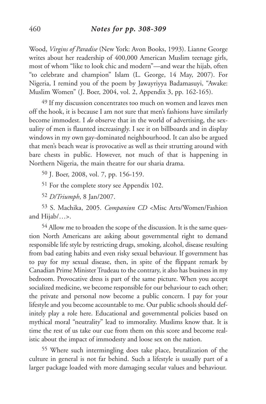Wood, *Virgins of Paradise* (New York: Avon Books, 1993). Lianne George writes about her readership of 400,000 American Muslim teenage girls, most of whom "like to look chic and modern"—and wear the hijab, often "to celebrate and champion" Islam (L. George, 14 May, 2007). For Nigeria, I remind you of the poem by Jawayriyya Badamasuyi, "Awake: Muslim Women" (J. Boer, 2004, vol. 2, Appendix 3, pp. 162-165).

<sup>49</sup> If my discussion concentrates too much on women and leaves men off the hook, it is because I am not sure that men's fashions have similarly become immodest. I *do* observe that in the world of advertising, the sexuality of men is flaunted increasingly. I see it on billboards and in display windows in my own gay-dominated neighbourhood. It can also be argued that men's beach wear is provocative as well as their strutting around with bare chests in public. However, not much of that is happening in Northern Nigeria, the main theatre for our sharia drama.

50 J. Boer, 2008, vol. 7, pp. 156-159.

51 For the complete story see Appendix 102.

52 *D/Triumph*, 8 Jan/2007.

53 S. Machika, 2005. *Companion CD* <Misc Arts/Women/Fashion and Hijab/…>.

<sup>54</sup> Allow me to broaden the scope of the discussion. It is the same question North Americans are asking about governmental right to demand responsible life style by restricting drugs, smoking, alcohol, disease resulting from bad eating habits and even risky sexual behaviour. If government has to pay for my sexual disease, then, in spite of the flippant remark by Canadian Prime Minister Trudeau to the contrary, it also has business in my bedroom. Provocative dress is part of the same picture. When you accept socialized medicine, we become responsible for our behaviour to each other; the private and personal now become a public concern. I pay for your lifestyle and you become accountable to me. Our public schools should definitely play a role here. Educational and governmental policies based on mythical moral "neutrality" lead to immorality. Muslims know that. It is time the rest of us take our cue from them on this score and become realistic about the impact of immodesty and loose sex on the nation.

55 Where such intermingling does take place, brutalization of the culture in general is not far behind. Such a lifestyle is usually part of a larger package loaded with more damaging secular values and behaviour.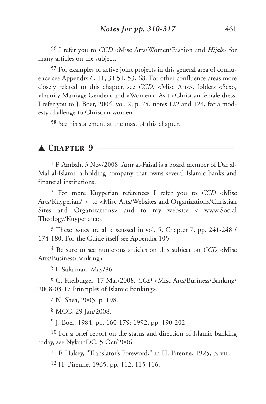56 I refer you to *CCD* <Misc Arts/Women/Fashion and *Hijab*> for many articles on the subject.

57 For examples of active joint projects in this general area of confluence see Appendix 6, 11, 31,51, 53, 68. For other confluence areas more closely related to this chapter, see *CCD,* <Misc Arts>, folders <Sex>, <Family Marriage Gender> and <Women>. As to Christian female dress, I refer you to J. Boer, 2004, vol. 2, p. 74, notes 122 and 124, for a modesty challenge to Christian women.

58 See his statement at the mast of this chapter.

#### ▲ **CHAPTER** 9 ——

1 F. Ambah, 3 Nov/2008. Amr al-Faisal is a board member of Dar al-Mal al-Islami, a holding company that owns several Islamic banks and financial institutions.

2 For more Kuyperian references I refer you to *CCD* <Misc Arts/Kuyperian/ >, to <Misc Arts/Websites and Organizations/Christian Sites and Organizations> and to my website < www.Social Theology/Kuyperiana>.

3 These issues are all discussed in vol. 5, Chapter 7, pp. 241-248 / 174-180. For the Guide itself see Appendix 105.

4 Be sure to see numerous articles on this subject on *CCD* <Misc Arts/Business/Banking>.

5 I. Sulaiman, May/86.

6 C. Kielburger, 17 Mar/2008. *CCD* <Misc Arts/Business/Banking/ 2008-03-17 Principles of Islamic Banking>.

7 N. Shea, 2005, p. 198.

8 MCC, 29 Jan/2008.

9 J. Boer, 1984, pp. 160-179; 1992, pp. 190-202.

<sup>10</sup> For a brief report on the status and direction of Islamic banking today, see NykrinDC, 5 Oct/2006.

11 F. Halsey, "Translator's Foreword," in H. Pirenne, 1925, p. viii.

12 H. Pirenne, 1965, pp. 112, 115-116.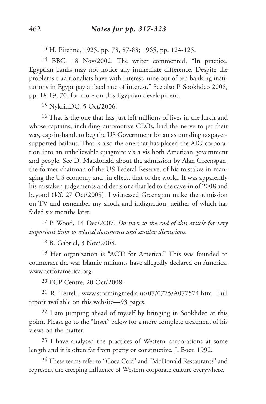13 H. Pirenne, 1925, pp. 78, 87-88; 1965, pp. 124-125.

14 BBC, 18 Nov/2002. The writer commented, "In practice, Egyptian banks may not notice any immediate difference. Despite the problems traditionalists have with interest, nine out of ten banking institutions in Egypt pay a fixed rate of interest." See also P. Sookhdeo 2008, pp. 18-19, 70, for more on this Egyptian development.

15 NykrinDC, 5 Oct/2006.

16 That is the one that has just left millions of lives in the lurch and whose captains, including automotive CEOs, had the nerve to jet their way, cap-in-hand, to beg the US Government for an astounding taxpayersupported bailout. That is also the one that has placed the AIG corporation into an unbelievable quagmire vis a vis both American government and people. See D. Macdonald about the admission by Alan Greenspan, the former chairman of the US Federal Reserve, of his mistakes in managing the US economy and, in effect, that of the world. It was apparently his mistaken judgements and decisions that led to the cave-in of 2008 and beyond (*VS*, 27 Oct/2008). I witnessed Greenspan make the admission on TV and remember my shock and indignation, neither of which has faded six months later.

17 P. Wood, 14 Dec/2007. *Do turn to the end of this article for very important links to related documents and similar discussions.*

18 B. Gabriel, 3 Nov/2008.

19 Her organization is "ACT! for America." This was founded to counteract the war Islamic militants have allegedly declared on America. www.actforamerica.org.

20 ECP Centre, 20 Oct/2008.

21 R. Terrell, www.stormingmedia.us/07/0775/A077574.htm. Full report available on this website—93 pages.

22 I am jumping ahead of myself by bringing in Sookhdeo at this point. Please go to the "Inset" below for a more complete treatment of his views on the matter.

 $23$  I have analysed the practices of Western corporations at some length and it is often far from pretty or constructive. J. Boer, 1992.

24 These terms refer to "Coca Cola" and "McDonald Restaurants" and represent the creeping influence of Western corporate culture everywhere.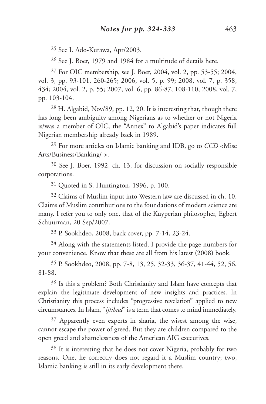25 See I. Ado-Kurawa, Apr/2003.

26 See J. Boer, 1979 and 1984 for a multitude of details here.

27 For OIC membership, see J. Boer, 2004, vol. 2, pp. 53-55; 2004, vol. 3, pp. 93-101, 260-265; 2006, vol. 5, p. 99; 2008, vol. 7, p. 358, 434; 2004, vol. 2, p. 55; 2007, vol. 6, pp. 86-87, 108-110; 2008, vol. 7, pp. 103-104.

28 H. Algabid, Nov/89, pp. 12, 20. It is interesting that, though there has long been ambiguity among Nigerians as to whether or not Nigeria is/was a member of OIC, the "Annex" to Algabid's paper indicates full Nigerian membership already back in 1989.

29 For more articles on Islamic banking and IDB, go to *CCD* <Misc Arts/Business/Banking/ >.

30 See J. Boer, 1992, ch. 13, for discussion on socially responsible corporations.

31 Quoted in S. Huntington, 1996, p. 100.

32 Claims of Muslim input into Western law are discussed in ch. 10. Claims of Muslim contributions to the foundations of modern science are many. I refer you to only one, that of the Kuyperian philosopher, Egbert Schuurman, 20 Sep/2007.

33 P. Sookhdeo, 2008, back cover, pp. 7-14, 23-24.

<sup>34</sup> Along with the statements listed, I provide the page numbers for your convenience. Know that these are all from his latest (2008) book.

35 P. Sookhdeo, 2008, pp. 7-8, 13, 25, 32-33, 36-37, 41-44, 52, 56, 81-88.

36 Is this a problem? Both Christianity and Islam have concepts that explain the legitimate development of new insights and practices. In Christianity this process includes "progressive revelation" applied to new circumstances. In Islam, "*ijtihad*" is a term that comes to mind immediately.

37 Apparently even experts in sharia, the wisest among the wise, cannot escape the power of greed. But they are children compared to the open greed and shamelessness of the American AIG executives.

38 It is interesting that he does not cover Nigeria, probably for two reasons. One, he correctly does not regard it a Muslim country; two, Islamic banking is still in its early development there.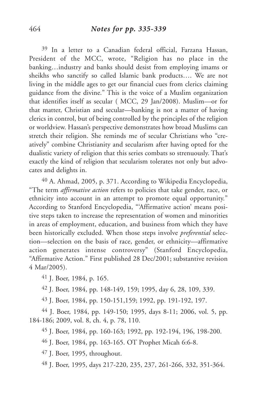39 In a letter to a Canadian federal official, Farzana Hassan, President of the MCC, wrote, "Religion has no place in the banking…industry and banks should desist from employing imams or sheikhs who sanctify so called Islamic bank products…. We are not living in the middle ages to get our financial cues from clerics claiming guidance from the divine." This is the voice of a Muslim organization that identifies itself as secular ( MCC, 29 Jan/2008). Muslim—or for that matter, Christian and secular—banking is not a matter of having clerics in control, but of being controlled by the principles of the religion or worldview. Hassan's perspective demonstrates how broad Muslims can stretch their religion. She reminds me of secular Christians who "creatively" combine Christianity and secularism after having opted for the dualistic variety of religion that this series combats so strenuously. That's exactly the kind of religion that secularism tolerates not only but advocates and delights in.

40 A. Ahmad, 2005, p. 371. According to Wikipedia Encyclopedia, "The term *affirmative action* refers to policies that take gender, race, or ethnicity into account in an attempt to promote equal opportunity." According to Stanford Encyclopedia, "'Affirmative action' means positive steps taken to increase the representation of women and minorities in areas of employment, education, and business from which they have been historically excluded. When those steps involve *preferential* selection—selection on the basis of race, gender, or ethnicity—affirmative action generates intense controversy" (Stanford Encyclopedia, "Affirmative Action." First published 28 Dec/2001; substantive revision 4 Mar/2005).

41 J. Boer, 1984, p. 165.

42 J. Boer, 1984, pp. 148-149, 159; 1995, day 6, 28, 109, 339.

43 J. Boer, 1984, pp. 150-151,159; 1992, pp. 191-192, 197.

44 J. Boer, 1984, pp. 149-150; 1995, days 8-11; 2006, vol. 5, pp. 184-186; 2009, vol. 8, ch. 4, p. 78, 110.

45 J. Boer, 1984, pp. 160-163; 1992, pp. 192-194, 196, 198-200.

46 J. Boer, 1984, pp. 163-165. OT Prophet Micah 6:6-8.

47 J. Boer, 1995, throughout.

48 J. Boer, 1995, days 217-220, 235, 237, 261-266, 332, 351-364.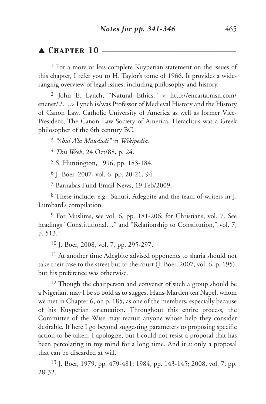## ▲ *Chapter 10* \_\_\_\_\_\_\_\_\_\_\_\_\_\_\_\_\_\_\_\_\_\_\_\_\_\_\_\_\_\_\_\_\_\_\_\_\_\_

1 For a more or less complete Kuyperian statement on the issues of this chapter, I refer you to H. Taylor's tome of 1966. It provides a wideranging overview of legal issues, including philosophy and history.

2 John E. Lynch, "Natural Ethics." < http://encarta.msn.com/ encnet/./….> Lynch is/was Professor of Medieval History and the History of Canon Law, Catholic University of America as well as former Vice-President, The Canon Law Society of America. Heraclitus was a Greek philosopher of the 6th century BC.

3 *"Abul A'la Maududi"* in *Wikipedia.*

4 *This Week*, 24 Oct/88, p. 24.

5 S. Huntington, 1996, pp. 183-184.

6 J. Boer, 2007, vol. 6, pp. 20-21, 94.

7 Barnabas Fund Email News, 19 Feb/2009.

8 These include, e.g., Sanusi, Adegbite and the team of writers in J. Lumbard's compilation.

9 For Muslims, see vol. 6, pp. 181-206; for Christians, vol. 7. See headings "Constitutional..." and "Relationship to Constitution," vol. 7, p. 513.

10 J. Boer, 2008, vol. 7, pp. 295-297.

<sup>11</sup> At another time Adegbite advised opponents to sharia should not take their case to the street but to the court (J. Boer, 2007, vol. 6, p. 195), but his preference was otherwise.

<sup>12</sup> Though the chairperson and convener of such a group should be a Nigerian, may I be so bold as to suggest Hans-Martien ten Napel, whom we met in Chapter 6, on p. 185, as one of the members, especially because of his Kuyperian orientation. Throughout this entire process, the Committee of the Wise may recruit anyone whose help they consider desirable. If here I go beyond suggesting parameters to proposing specific action to be taken, I apologize, but I could not resist a proposal that has been percolating in my mind for a long time. And it *is* only a proposal that can be discarded at will.

13 J. Boer, 1979, pp. 479-481; 1984, pp. 143-145; 2008, vol. 7, pp. 28-32.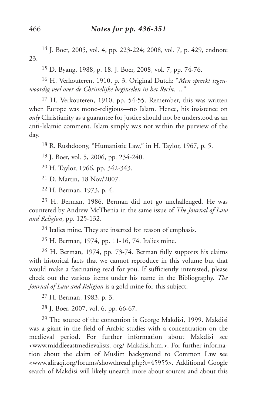14 J. Boer, 2005, vol. 4, pp. 223-224; 2008, vol. 7, p. 429, endnote 23.

15 D. Byang, 1988, p. 18. J. Boer, 2008, vol. 7, pp. 74-76.

16 H. Verkouteren, 1910, p. 3. Original Dutch: "*Men spreekt tegenwoordig veel over de Christelijke beginselen in het Recht…."*

17 H. Verkouteren, 1910, pp. 54-55. Remember, this was written when Europe was mono-religious—no Islam. Hence, his insistence on *only* Christianity as a guarantee for justice should not be understood as an anti-Islamic comment. Islam simply was not within the purview of the day.

18 R. Rushdoony, "Humanistic Law," in H. Taylor, 1967, p. 5.

19 J. Boer, vol. 5, 2006, pp. 234-240.

20 H. Taylor, 1966, pp. 342-343.

21 D. Martin, 18 Nov/2007.

22 H. Berman, 1973, p. 4.

23 H. Berman, 1986. Berman did not go unchallenged. He was countered by Andrew McThenia in the same issue of *The Journal of Law and Religion*, pp. 125-132.

24 Italics mine. They are inserted for reason of emphasis.

25 H. Berman, 1974, pp. 11-16, 74. Italics mine.

26 H. Berman, 1974, pp. 73-74. Berman fully supports his claims with historical facts that we cannot reproduce in this volume but that would make a fascinating read for you. If sufficiently interested, please check out the various items under his name in the Bibliography. *The Journal of Law and Religion* is a gold mine for this subject.

27 H. Berman, 1983, p. 3.

28 J. Boer, 2007, vol. 6, pp. 66-67.

29 The source of the contention is George Makdisi, 1999. Makdisi was a giant in the field of Arabic studies with a concentration on the medieval period. For further information about Makdisi see <www.middleeastmedievalists. org/ Makdisi.htm.>. For further information about the claim of Muslim background to Common Law see <www.aliraqi.org/forums/showthread.php?t=45955>. Additional Google search of Makdisi will likely unearth more about sources and about this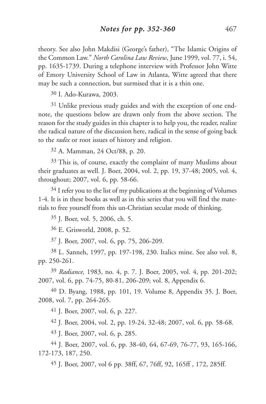theory. See also John Makdisi (George's father), "The Islamic Origins of the Common Law." *North Carolina Law Review*, June 1999, vol. 77, i. 54, pp. 1635-1739. During a telephone interview with Professor John Witte of Emory University School of Law in Atlanta, Witte agreed that there may be such a connection, but surmised that it is a thin one.

30 I. Ado-Kurawa, 2003.

31 Unlike previous study guides and with the exception of one endnote, the questions below are drawn only from the above section. The reason for the study guides in this chapter is to help you, the reader, realize the radical nature of the discussion here, radical in the sense of going back to the *radix* or root issues of history and religion.

32 A. Mamman, 24 Oct/88, p. 20.

33 This is, of course, exactly the complaint of many Muslims about their graduates as well. J. Boer, 2004, vol. 2, pp. 19, 37-48; 2005, vol. 4, throughout; 2007, vol. 6, pp. 58-66.

<sup>34</sup> I refer you to the list of my publications at the beginning of Volumes 1-4. It is in these books as well as in this series that you will find the materials to free yourself from this un-Christian secular mode of thinking.

35 J. Boer, vol. 5, 2006, ch. 5.

36 E. Grisworld, 2008, p. 52.

37 J. Boer, 2007, vol. 6, pp. 75, 206-209.

38 L. Sanneh, 1997, pp. 197-198, 230. Italics mine. See also vol. 8, pp. 250-261.

39 *Radiance,* 1983, no. 4, p. 7. J. Boer, 2005, vol. 4, pp. 201-202; 2007, vol. 6, pp. 74-75, 80-81, 206-209; vol. 8, Appendix 6.

40 D. Byang, 1988, pp. 101, 19. Volume 8, Appendix 35. J. Boer, 2008, vol. 7, pp. 264-265.

41 J. Boer, 2007, vol. 6, p. 227.

42 J. Boer, 2004, vol. 2, pp. 19-24, 32-48; 2007, vol. 6, pp. 58-68.

43 J. Boer, 2007, vol. 6, p. 285.

44 J. Boer, 2007, vol. 6, pp. 38-40, 64, 67-69, 76-77, 93, 165-166, 172-173, 187, 250.

45 J. Boer, 2007, vol 6 pp. 38ff, 67, 76ff, 92, 165ff , 172, 285ff.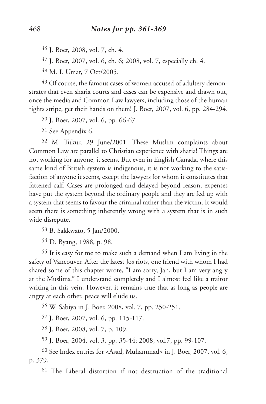46 J. Boer, 2008, vol. 7, ch. 4.

47 J. Boer, 2007, vol. 6, ch. 6; 2008, vol. 7, especially ch. 4.

48 M. I. Umar, 7 Oct/2005.

49 Of course, the famous cases of women accused of adultery demonstrates that even sharia courts and cases can be expensive and drawn out, once the media and Common Law lawyers, including those of the human rights stripe, get their hands on them! J. Boer, 2007, vol. 6, pp. 284-294.

50 J. Boer, 2007, vol. 6, pp. 66-67.

51 See Appendix 6.

52 M. Tukur, 29 June/2001. These Muslim complaints about Common Law are parallel to Christian experience with sharia! Things are not working for anyone, it seems. But even in English Canada, where this same kind of British system is indigenous, it is not working to the satisfaction of anyone it seems, except the lawyers for whom it constitutes that fattened calf. Cases are prolonged and delayed beyond reason, expenses have put the system beyond the ordinary people and they are fed up with a system that seems to favour the criminal rather than the victim. It would seem there is something inherently wrong with a system that is in such wide disrepute.

53 B. Sakkwato, 5 Jan/2000.

54 D. Byang, 1988, p. 98.

55 It is easy for me to make such a demand when I am living in the safety of Vancouver. After the latest Jos riots, one friend with whom I had shared some of this chapter wrote, "I am sorry, Jan, but I am very angry at the Muslims." I understand completely and I almost feel like a traitor writing in this vein. However, it remains true that as long as people are angry at each other, peace will elude us.

56 W. Sabiya in J. Boer, 2008, vol. 7, pp. 250-251.

57 J. Boer, 2007, vol. 6, pp. 115-117.

58 J. Boer, 2008, vol. 7, p. 109.

59 J. Boer, 2004, vol. 3, pp. 35-44; 2008, vol.7, pp. 99-107.

60 See Index entries for <Asad, Muhammad> in J. Boer, 2007, vol. 6, p. 379.

61 The Liberal distortion if not destruction of the traditional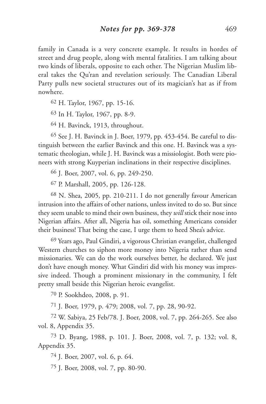family in Canada is a very concrete example. It results in hordes of street and drug people, along with mental fatalities. I am talking about two kinds of liberals, opposite to each other. The Nigerian Muslim liberal takes the Qu'ran and revelation seriously. The Canadian Liberal Party pulls new societal structures out of its magician's hat as if from nowhere.

62 H. Taylor, 1967, pp. 15-16.

63 In H. Taylor, 1967, pp. 8-9.

64 H. Bavinck, 1913, throughout.

65 See J. H. Bavinck in J. Boer, 1979, pp. 453-454. Be careful to distinguish between the earlier Bavinck and this one. H. Bavinck was a systematic theologian, while J. H. Bavinck was a missiologist. Both were pioneers with strong Kuyperian inclinations in their respective disciplines.

66 J. Boer, 2007, vol. 6, pp. 249-250.

67 P. Marshall, 2005, pp. 126-128.

68 N. Shea, 2005, pp. 210-211. I do not generally favour American intrusion into the affairs of other nations, unless invited to do so. But since they seem unable to mind their own business, they *will* stick their nose into Nigerian affairs. After all, Nigeria has oil, something Americans consider their business! That being the case, I urge them to heed Shea's advice.

69 Years ago, Paul Gindiri, a vigorous Christian evangelist, challenged Western churches to siphon more money into Nigeria rather than send missionaries. We can do the work ourselves better, he declared. We just don't have enough money. What Gindiri did with his money was impressive indeed. Though a prominent missionary in the community, I felt pretty small beside this Nigerian heroic evangelist.

70 P. Sookhdeo, 2008, p. 91.

71 J. Boer, 1979, p. 479; 2008, vol. 7, pp. 28, 90-92.

72 W. Sabiya, 25 Feb/78. J. Boer, 2008, vol. 7, pp. 264-265. See also vol. 8, Appendix 35.

73 D. Byang, 1988, p. 101. J. Boer, 2008, vol. 7, p. 132; vol. 8, Appendix 35.

74 J. Boer, 2007, vol. 6, p. 64.

75 J. Boer, 2008, vol. 7, pp. 80-90.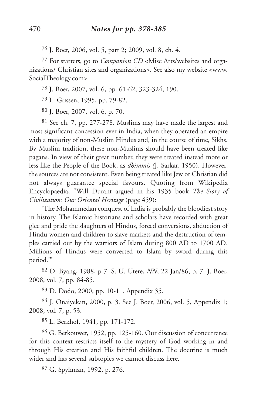76 J. Boer, 2006, vol. 5, part 2; 2009, vol. 8, ch. 4.

77 For starters, go to *Companion CD* <Misc Arts/websites and organizations/ Christian sites and organizations>. See also my website <www. SocialTheology.com>.

78 J. Boer, 2007, vol. 6, pp. 61-62, 323-324, 190.

79 L. Grissen, 1995, pp. 79-82.

80 J. Boer, 2007, vol. 6, p. 70.

81 See ch. 7, pp. 277-278. Muslims may have made the largest and most significant concession ever in India, when they operated an empire with a majority of non-Muslim Hindus and, in the course of time, Sikhs. By Muslim tradition, these non-Muslims should have been treated like pagans. In view of their great number, they were treated instead more or less like the People of the Book, as *dhimmis (*J. Sarkar, 1950). However, the sources are not consistent. Even being treated like Jew or Christian did not always guarantee special favours. Quoting from Wikipedia Encyclopaedia, "Will Durant argued in his 1935 book *The Story of Civilization: Our Oriental Heritage* (page 459):

'The Mohammedan conquest of India is probably the bloodiest story in history. The Islamic historians and scholars have recorded with great glee and pride the slaughters of Hindus, forced conversions, abduction of Hindu women and children to slave markets and the destruction of temples carried out by the warriors of Islam during 800 AD to 1700 AD. Millions of Hindus were converted to Islam by sword during this period.'"

82 D. Byang, 1988, p 7. S. U. Utere, *NN*, 22 Jan/86, p. 7. J. Boer, 2008, vol. 7, pp. 84-85.

83 D. Dodo, 2000, pp. 10-11. Appendix 35.

84 J. Onaiyekan, 2000, p. 3. See J. Boer, 2006, vol. 5, Appendix 1; 2008, vol. 7, p. 53.

85 L. Berkhof, 1941, pp. 171-172.

86 G. Berkouwer, 1952, pp. 125-160. Our discussion of concurrence for this context restricts itself to the mystery of God working in and through His creation and His faithful children. The doctrine is much wider and has several subtopics we cannot discuss here.

87 G. Spykman, 1992, p. 276.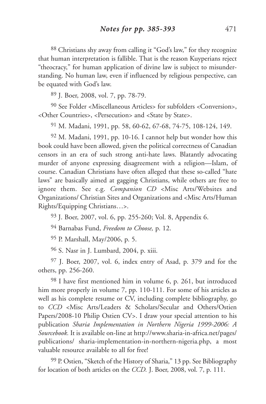88 Christians shy away from calling it "God's law," for they recognize that human interpretation is fallible. That is the reason Kuyperians reject "theocracy," for human application of divine law is subject to misunderstanding. No human law, even if influenced by religious perspective, can be equated with God's law.

89 J. Boer, 2008, vol. 7, pp. 78-79.

90 See Folder <Miscellaneous Articles> for subfolders <Conversion>, <Other Countries>, <Persecution> and <State by State>.

91 M. Madani, 1991, pp. 58, 60-62, 67-68, 74-75, 108-124, 149.

92 M. Madani, 1991, pp. 10-16. I cannot help but wonder how this book could have been allowed, given the political correctness of Canadian censors in an era of such strong anti-hate laws. Blatantly advocating murder of anyone expressing disagreement with a religion—Islam, of course. Canadian Christians have often alleged that these so-called "hate laws" are basically aimed at gagging Christians, while others are free to ignore them. See e.g. *Companion CD* <Misc Arts/Websites and Organizations/ Christian Sites and Organizations and <Misc Arts/Human Rights/Equipping Christians…>.

93 J. Boer, 2007, vol. 6, pp. 255-260; Vol. 8, Appendix 6.

94 Barnabas Fund, *Freedom to Choose,* p. 12.

95 P. Marshall, May/2006, p. 5.

96 S. Nasr in J. Lumbard, 2004, p. xiii.

97 J. Boer, 2007, vol. 6, index entry of Asad, p. 379 and for the others, pp. 256-260.

98 I have first mentioned him in volume 6, p. 261, but introduced him more properly in volume 7, pp. 110-111. For some of his articles as well as his complete resume or CV, including complete bibliography, go to *CCD* <Misc Arts/Leaders & Scholars/Secular and Others/Ostien Papers/2008-10 Philip Ostien CV>. I draw your special attention to his publication *Sharia Implementation in Northern Nigeria 1999-2006: A Sourcebook.* It is available on-line at http://www.sharia-in-africa.net/pages/ publications/ sharia-implementation-in-northern-nigeria.php, a most valuable resource available to all for free!

99 P. Ostien, "Sketch of the History of Sharia," 13 pp. See Bibliography for location of both articles on the *CCD.* J. Boer, 2008, vol. 7, p. 111.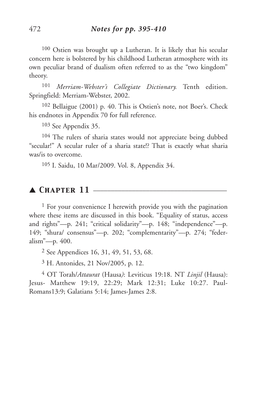100 Ostien was brought up a Lutheran. It is likely that his secular concern here is bolstered by his childhood Lutheran atmosphere with its own peculiar brand of dualism often referred to as the "two kingdom" theory.

101 *Merriam-Webster's Collegiate Dictionary.* Tenth edition. Springfield: Merriam-Webster, 2002.

102 Bellaigue (2001) p. 40. This is Ostien's note, not Boer's. Check his endnotes in Appendix 70 for full reference.

103 See Appendix 35.

104 The rulers of sharia states would not appreciate being dubbed "secular!" A secular ruler of a sharia state!? That is exactly what sharia was/is to overcome.

105 I. Saidu, 10 Mar/2009. Vol. 8, Appendix 34.

# ▲ *Chapter 11* \_\_\_\_\_\_\_\_\_\_\_\_\_\_\_\_\_\_\_\_\_\_\_\_\_\_\_\_\_\_\_\_\_\_\_\_\_\_

1 For your convenience I herewith provide you with the pagination where these items are discussed in this book. "Equality of status, access and rights"—p. 241; "critical solidarity"—p. 148; "independence"—p. 149; "shura/ consensus"—p. 202; "complementarity"—p. 274; "federalism"—p. 400.

2 See Appendices 16, 31, 49, 51, 53, 68.

3 H. Antonides, 21 Nov/2005, p. 12.

4 OT Torah/*Attaurat* (Hausa*)*: Leviticus 19:18. NT *Linjil* (Hausa): Jesus- Matthew 19:19, 22:29; Mark 12:31; Luke 10:27. Paul-Romans13:9; Galatians 5:14; James-James 2:8.